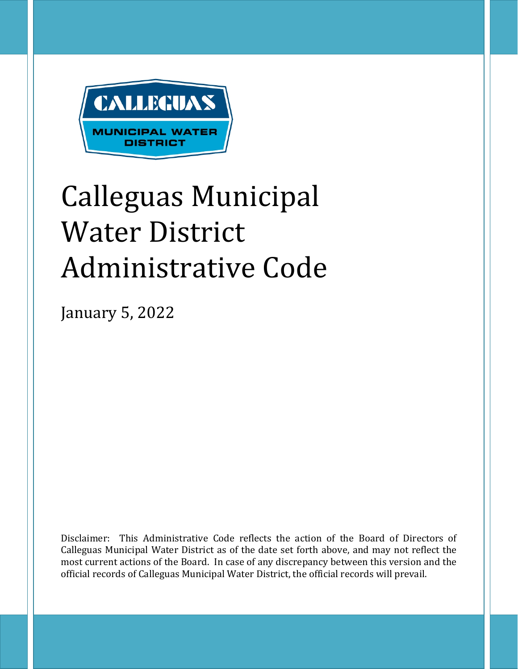

# Calleguas Municipal Water District Administrative Code

January 5, 2022

Disclaimer: This Administrative Code reflects the action of the Board of Directors of Calleguas Municipal Water District as of the date set forth above, and may not reflect the most current actions of the Board. In case of any discrepancy between this version and the official records of Calleguas Municipal Water District, the official records will prevail.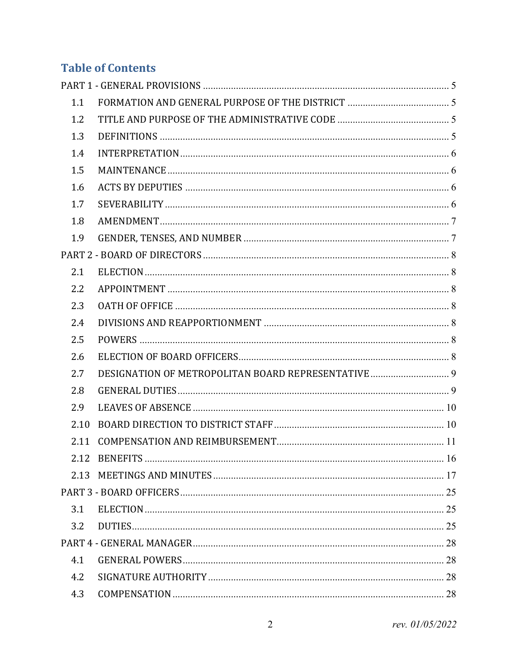# **Table of Contents**

| 1.1  |  |
|------|--|
| 1.2  |  |
| 1.3  |  |
| 1.4  |  |
| 1.5  |  |
| 1.6  |  |
| 1.7  |  |
| 1.8  |  |
| 1.9  |  |
|      |  |
| 2.1  |  |
| 2.2  |  |
| 2.3  |  |
| 2.4  |  |
| 2.5  |  |
| 2.6  |  |
| 2.7  |  |
| 2.8  |  |
| 2.9  |  |
| 2.10 |  |
| 2.11 |  |
|      |  |
| 2.13 |  |
|      |  |
| 3.1  |  |
| 3.2  |  |
|      |  |
| 4.1  |  |
| 4.2  |  |
| 4.3  |  |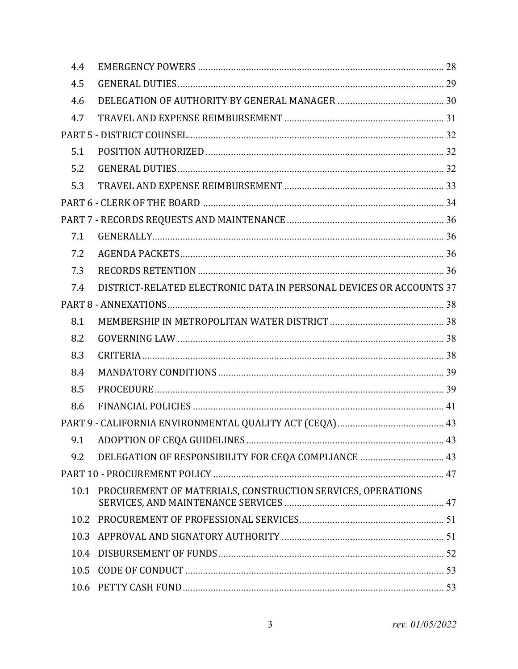| 4.4  |                                                                     |  |
|------|---------------------------------------------------------------------|--|
| 4.5  |                                                                     |  |
| 4.6  |                                                                     |  |
| 4.7  |                                                                     |  |
|      |                                                                     |  |
| 5.1  |                                                                     |  |
| 5.2  |                                                                     |  |
| 5.3  |                                                                     |  |
|      |                                                                     |  |
|      |                                                                     |  |
| 7.1  |                                                                     |  |
| 7.2  |                                                                     |  |
| 7.3  |                                                                     |  |
| 7.4  | DISTRICT-RELATED ELECTRONIC DATA IN PERSONAL DEVICES OR ACCOUNTS 37 |  |
|      |                                                                     |  |
| 8.1  |                                                                     |  |
| 8.2  |                                                                     |  |
| 8.3  |                                                                     |  |
| 8.4  |                                                                     |  |
| 8.5  |                                                                     |  |
| 8.6  |                                                                     |  |
|      |                                                                     |  |
|      |                                                                     |  |
| 9.2  | DELEGATION OF RESPONSIBILITY FOR CEQA COMPLIANCE  43                |  |
|      |                                                                     |  |
|      | 10.1 PROCUREMENT OF MATERIALS, CONSTRUCTION SERVICES, OPERATIONS    |  |
| 10.2 |                                                                     |  |
| 10.3 |                                                                     |  |
| 10.4 |                                                                     |  |
| 10.5 |                                                                     |  |
| 10.6 |                                                                     |  |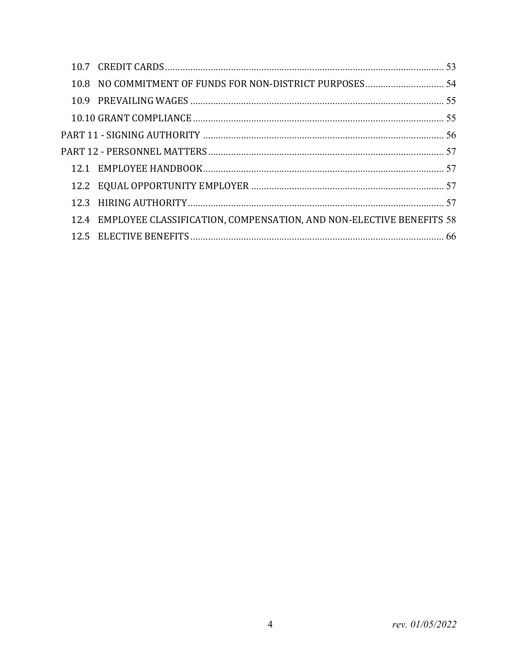| 12.4 EMPLOYEE CLASSIFICATION, COMPENSATION, AND NON-ELECTIVE BENEFITS 58 |  |
|--------------------------------------------------------------------------|--|
|                                                                          |  |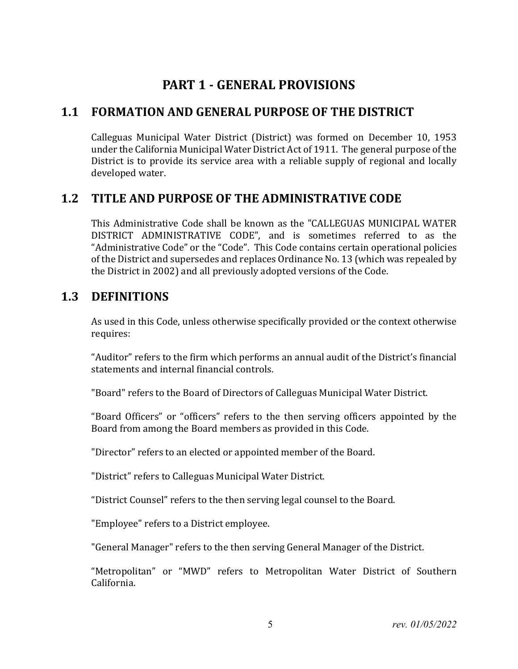# **PART 1 - GENERAL PROVISIONS**

# <span id="page-4-1"></span><span id="page-4-0"></span>**1.1 FORMATION AND GENERAL PURPOSE OF THE DISTRICT**

Calleguas Municipal Water District (District) was formed on December 10, 1953 under the California Municipal Water District Act of 1911. The general purpose of the District is to provide its service area with a reliable supply of regional and locally developed water.

# <span id="page-4-2"></span>**1.2 TITLE AND PURPOSE OF THE ADMINISTRATIVE CODE**

This Administrative Code shall be known as the "CALLEGUAS MUNICIPAL WATER DISTRICT ADMINISTRATIVE CODE", and is sometimes referred to as the "Administrative Code" or the "Code". This Code contains certain operational policies of the District and supersedes and replaces Ordinance No. 13 (which was repealed by the District in 2002) and all previously adopted versions of the Code.

# <span id="page-4-3"></span>**1.3 DEFINITIONS**

As used in this Code, unless otherwise specifically provided or the context otherwise requires:

"Auditor" refers to the firm which performs an annual audit of the District's financial statements and internal financial controls.

"Board" refers to the Board of Directors of Calleguas Municipal Water District.

"Board Officers" or "officers" refers to the then serving officers appointed by the Board from among the Board members as provided in this Code.

"Director" refers to an elected or appointed member of the Board.

"District" refers to Calleguas Municipal Water District.

"District Counsel" refers to the then serving legal counsel to the Board.

"Employee" refers to a District employee.

"General Manager" refers to the then serving General Manager of the District.

"Metropolitan" or "MWD" refers to Metropolitan Water District of Southern California.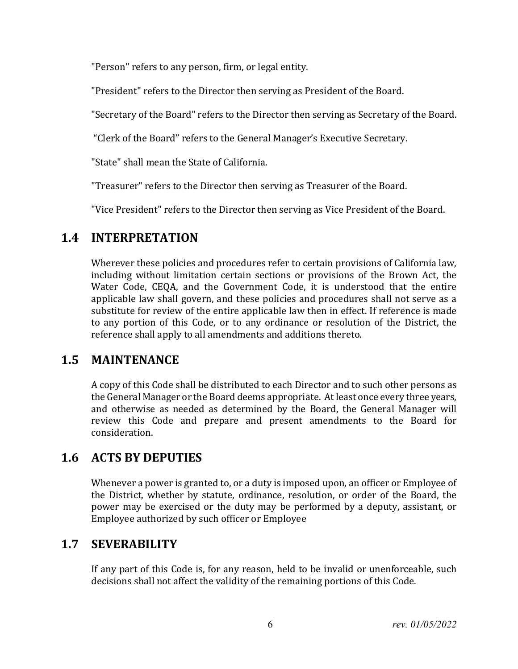"Person" refers to any person, firm, or legal entity.

"President" refers to the Director then serving as President of the Board.

"Secretary of the Board" refers to the Director then serving as Secretary of the Board.

"Clerk of the Board" refers to the General Manager's Executive Secretary.

"State" shall mean the State of California.

"Treasurer" refers to the Director then serving as Treasurer of the Board.

"Vice President" refers to the Director then serving as Vice President of the Board.

# <span id="page-5-0"></span>**1.4 INTERPRETATION**

Wherever these policies and procedures refer to certain provisions of California law, including without limitation certain sections or provisions of the Brown Act, the Water Code, CEQA, and the Government Code, it is understood that the entire applicable law shall govern, and these policies and procedures shall not serve as a substitute for review of the entire applicable law then in effect. If reference is made to any portion of this Code, or to any ordinance or resolution of the District, the reference shall apply to all amendments and additions thereto.

# <span id="page-5-1"></span>**1.5 MAINTENANCE**

A copy of this Code shall be distributed to each Director and to such other persons as the General Manager or the Board deems appropriate. At least once every three years, and otherwise as needed as determined by the Board, the General Manager will review this Code and prepare and present amendments to the Board for consideration.

# <span id="page-5-2"></span>**1.6 ACTS BY DEPUTIES**

Whenever a power is granted to, or a duty is imposed upon, an officer or Employee of the District, whether by statute, ordinance, resolution, or order of the Board, the power may be exercised or the duty may be performed by a deputy, assistant, or Employee authorized by such officer or Employee

# <span id="page-5-3"></span>**1.7 SEVERABILITY**

If any part of this Code is, for any reason, held to be invalid or unenforceable, such decisions shall not affect the validity of the remaining portions of this Code.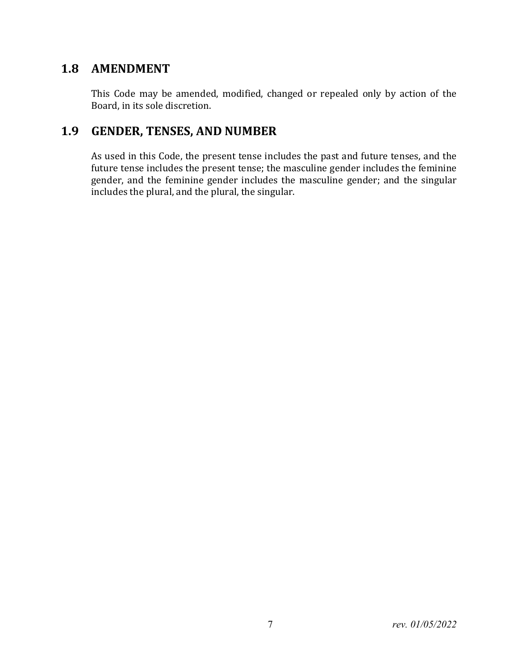## <span id="page-6-0"></span>**1.8 AMENDMENT**

This Code may be amended, modified, changed or repealed only by action of the Board, in its sole discretion.

# <span id="page-6-1"></span>**1.9 GENDER, TENSES, AND NUMBER**

As used in this Code, the present tense includes the past and future tenses, and the future tense includes the present tense; the masculine gender includes the feminine gender, and the feminine gender includes the masculine gender; and the singular includes the plural, and the plural, the singular.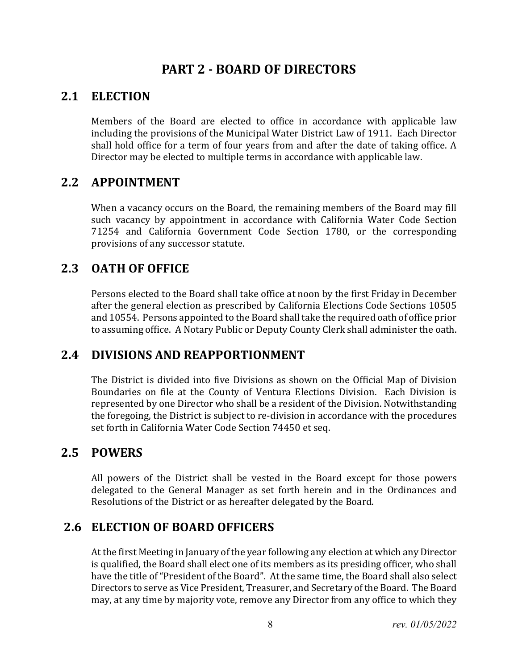# **PART 2 - BOARD OF DIRECTORS**

## <span id="page-7-1"></span><span id="page-7-0"></span>**2.1 ELECTION**

Members of the Board are elected to office in accordance with applicable law including the provisions of the Municipal Water District Law of 1911. Each Director shall hold office for a term of four years from and after the date of taking office. A Director may be elected to multiple terms in accordance with applicable law.

## <span id="page-7-2"></span>**2.2 APPOINTMENT**

When a vacancy occurs on the Board, the remaining members of the Board may fill such vacancy by appointment in accordance with California Water Code Section 71254 and California Government Code Section 1780, or the corresponding provisions of any successor statute.

# <span id="page-7-3"></span>**2.3 OATH OF OFFICE**

Persons elected to the Board shall take office at noon by the first Friday in December after the general election as prescribed by California Elections Code Sections 10505 and 10554. Persons appointed to the Board shall take the required oath of office prior to assuming office. A Notary Public or Deputy County Clerk shall administer the oath.

# <span id="page-7-4"></span>**2.4 DIVISIONS AND REAPPORTIONMENT**

The District is divided into five Divisions as shown on the Official Map of Division Boundaries on file at the County of Ventura Elections Division. Each Division is represented by one Director who shall be a resident of the Division. Notwithstanding the foregoing, the District is subject to re-division in accordance with the procedures set forth in California Water Code Section 74450 et seq.

## <span id="page-7-5"></span>**2.5 POWERS**

All powers of the District shall be vested in the Board except for those powers delegated to the General Manager as set forth herein and in the Ordinances and Resolutions of the District or as hereafter delegated by the Board.

# <span id="page-7-6"></span>**2.6 ELECTION OF BOARD OFFICERS**

At the first Meeting in January of the year following any election at which any Director is qualified, the Board shall elect one of its members as its presiding officer, who shall have the title of "President of the Board". At the same time, the Board shall also select Directors to serve as Vice President, Treasurer, and Secretary of the Board. The Board may, at any time by majority vote, remove any Director from any office to which they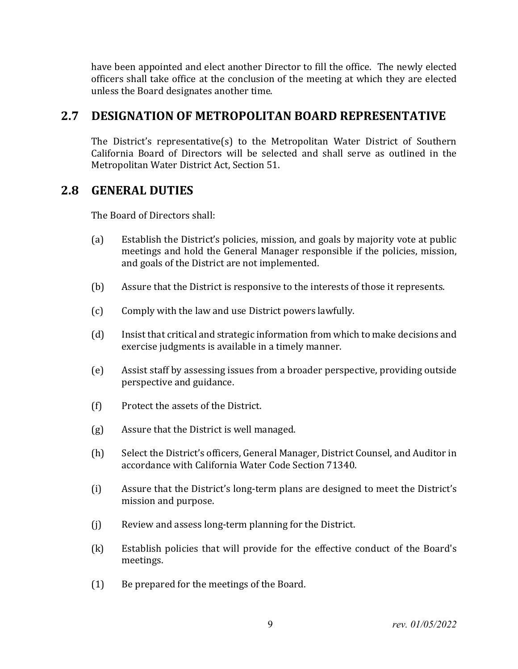have been appointed and elect another Director to fill the office. The newly elected officers shall take office at the conclusion of the meeting at which they are elected unless the Board designates another time.

# <span id="page-8-0"></span>**2.7 DESIGNATION OF METROPOLITAN BOARD REPRESENTATIVE**

The District's representative(s) to the Metropolitan Water District of Southern California Board of Directors will be selected and shall serve as outlined in the Metropolitan Water District Act, Section 51.

## <span id="page-8-1"></span>**2.8 GENERAL DUTIES**

The Board of Directors shall:

- (a) Establish the District's policies, mission, and goals by majority vote at public meetings and hold the General Manager responsible if the policies, mission, and goals of the District are not implemented.
- (b) Assure that the District is responsive to the interests of those it represents.
- (c) Comply with the law and use District powers lawfully.
- (d) Insist that critical and strategic information from which to make decisions and exercise judgments is available in a timely manner.
- (e) Assist staff by assessing issues from a broader perspective, providing outside perspective and guidance.
- (f) Protect the assets of the District.
- (g) Assure that the District is well managed.
- (h) Select the District's officers, General Manager, District Counsel, and Auditor in accordance with California Water Code Section 71340.
- (i) Assure that the District's long-term plans are designed to meet the District's mission and purpose.
- (j) Review and assess long-term planning for the District.
- (k) Establish policies that will provide for the effective conduct of the Board's meetings.
- (1) Be prepared for the meetings of the Board.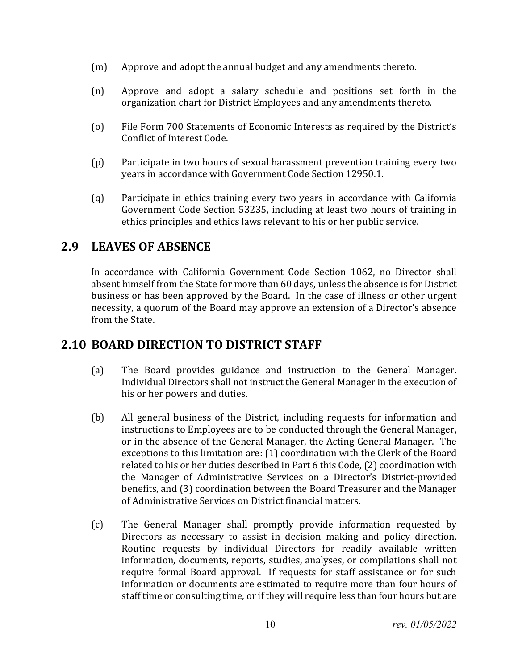- (m) Approve and adopt the annual budget and any amendments thereto.
- (n) Approve and adopt a salary schedule and positions set forth in the organization chart for District Employees and any amendments thereto.
- (o) File Form 700 Statements of Economic Interests as required by the District's Conflict of Interest Code.
- (p) Participate in two hours of sexual harassment prevention training every two years in accordance with Government Code Section 12950.1.
- (q) Participate in ethics training every two years in accordance with California Government Code Section 53235, including at least two hours of training in ethics principles and ethics laws relevant to his or her public service.

## <span id="page-9-0"></span>**2.9 LEAVES OF ABSENCE**

In accordance with California Government Code Section 1062, no Director shall absent himself from the State for more than 60 days, unless the absence is for District business or has been approved by the Board. In the case of illness or other urgent necessity, a quorum of the Board may approve an extension of a Director's absence from the State.

# <span id="page-9-1"></span>**2.10 BOARD DIRECTION TO DISTRICT STAFF**

- (a) The Board provides guidance and instruction to the General Manager. Individual Directors shall not instruct the General Manager in the execution of his or her powers and duties.
- (b) All general business of the District, including requests for information and instructions to Employees are to be conducted through the General Manager, or in the absence of the General Manager, the Acting General Manager. The exceptions to this limitation are: (1) coordination with the Clerk of the Board related to his or her duties described in Part 6 this Code, (2) coordination with the Manager of Administrative Services on a Director's District-provided benefits, and (3) coordination between the Board Treasurer and the Manager of Administrative Services on District financial matters.
- (c) The General Manager shall promptly provide information requested by Directors as necessary to assist in decision making and policy direction. Routine requests by individual Directors for readily available written information, documents, reports, studies, analyses, or compilations shall not require formal Board approval. If requests for staff assistance or for such information or documents are estimated to require more than four hours of staff time or consulting time, or if they will require less than four hours but are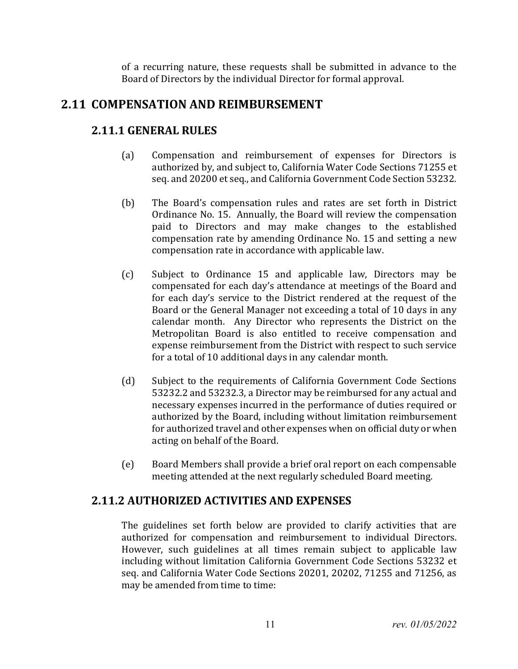of a recurring nature, these requests shall be submitted in advance to the Board of Directors by the individual Director for formal approval.

# <span id="page-10-0"></span>**2.11 COMPENSATION AND REIMBURSEMENT**

#### **2.11.1 GENERAL RULES**

- (a) Compensation and reimbursement of expenses for Directors is authorized by, and subject to, California Water Code Sections 71255 et seq. and 20200 et seq., and California Government Code Section 53232.
- (b) The Board's compensation rules and rates are set forth in District Ordinance No. 15. Annually, the Board will review the compensation paid to Directors and may make changes to the established compensation rate by amending Ordinance No. 15 and setting a new compensation rate in accordance with applicable law.
- (c) Subject to Ordinance 15 and applicable law, Directors may be compensated for each day's attendance at meetings of the Board and for each day's service to the District rendered at the request of the Board or the General Manager not exceeding a total of 10 days in any calendar month. Any Director who represents the District on the Metropolitan Board is also entitled to receive compensation and expense reimbursement from the District with respect to such service for a total of 10 additional days in any calendar month.
- (d) Subject to the requirements of California Government Code Sections 53232.2 and 53232.3, a Director may be reimbursed for any actual and necessary expenses incurred in the performance of duties required or authorized by the Board, including without limitation reimbursement for authorized travel and other expenses when on official duty or when acting on behalf of the Board.
- (e) Board Members shall provide a brief oral report on each compensable meeting attended at the next regularly scheduled Board meeting.

## **2.11.2 AUTHORIZED ACTIVITIES AND EXPENSES**

The guidelines set forth below are provided to clarify activities that are authorized for compensation and reimbursement to individual Directors. However, such guidelines at all times remain subject to applicable law including without limitation California Government Code Sections 53232 et seq. and California Water Code Sections 20201, 20202, 71255 and 71256, as may be amended from time to time: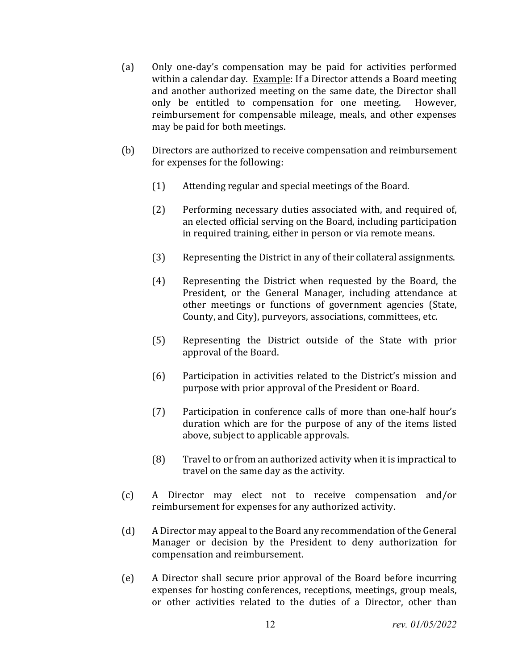- (a) Only one-day's compensation may be paid for activities performed within a calendar day. Example: If a Director attends a Board meeting and another authorized meeting on the same date, the Director shall<br>only be entitled to compensation for one meeting. However, only be entitled to compensation for one meeting. reimbursement for compensable mileage, meals, and other expenses may be paid for both meetings.
- (b) Directors are authorized to receive compensation and reimbursement for expenses for the following:
	- (1) Attending regular and special meetings of the Board.
	- (2) Performing necessary duties associated with, and required of, an elected official serving on the Board, including participation in required training, either in person or via remote means.
	- (3) Representing the District in any of their collateral assignments.
	- (4) Representing the District when requested by the Board, the President, or the General Manager, including attendance at other meetings or functions of government agencies (State, County, and City), purveyors, associations, committees, etc.
	- (5) Representing the District outside of the State with prior approval of the Board.
	- (6) Participation in activities related to the District's mission and purpose with prior approval of the President or Board.
	- (7) Participation in conference calls of more than one-half hour's duration which are for the purpose of any of the items listed above, subject to applicable approvals.
	- (8) Travel to or from an authorized activity when it is impractical to travel on the same day as the activity.
- (c) A Director may elect not to receive compensation and/or reimbursement for expenses for any authorized activity.
- (d) A Director may appeal to the Board any recommendation of the General Manager or decision by the President to deny authorization for compensation and reimbursement.
- (e) A Director shall secure prior approval of the Board before incurring expenses for hosting conferences, receptions, meetings, group meals, or other activities related to the duties of a Director, other than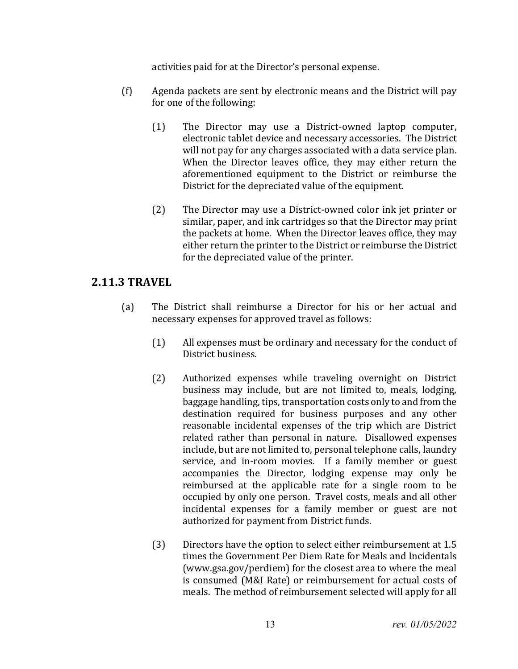activities paid for at the Director's personal expense.

- (f) Agenda packets are sent by electronic means and the District will pay for one of the following:
	- (1) The Director may use a District-owned laptop computer, electronic tablet device and necessary accessories. The District will not pay for any charges associated with a data service plan. When the Director leaves office, they may either return the aforementioned equipment to the District or reimburse the District for the depreciated value of the equipment.
	- (2) The Director may use a District-owned color ink jet printer or similar, paper, and ink cartridges so that the Director may print the packets at home. When the Director leaves office, they may either return the printer to the District or reimburse the District for the depreciated value of the printer.

#### **2.11.3 TRAVEL**

- (a) The District shall reimburse a Director for his or her actual and necessary expenses for approved travel as follows:
	- (1) All expenses must be ordinary and necessary for the conduct of District business.
	- (2) Authorized expenses while traveling overnight on District business may include, but are not limited to, meals, lodging, baggage handling, tips, transportation costs only to and from the destination required for business purposes and any other reasonable incidental expenses of the trip which are District related rather than personal in nature. Disallowed expenses include, but are not limited to, personal telephone calls, laundry service, and in-room movies. If a family member or guest accompanies the Director, lodging expense may only be reimbursed at the applicable rate for a single room to be occupied by only one person. Travel costs, meals and all other incidental expenses for a family member or guest are not authorized for payment from District funds.
	- (3) Directors have the option to select either reimbursement at 1.5 times the Government Per Diem Rate for Meals and Incidentals (www.gsa.gov/perdiem) for the closest area to where the meal is consumed (M&I Rate) or reimbursement for actual costs of meals. The method of reimbursement selected will apply for all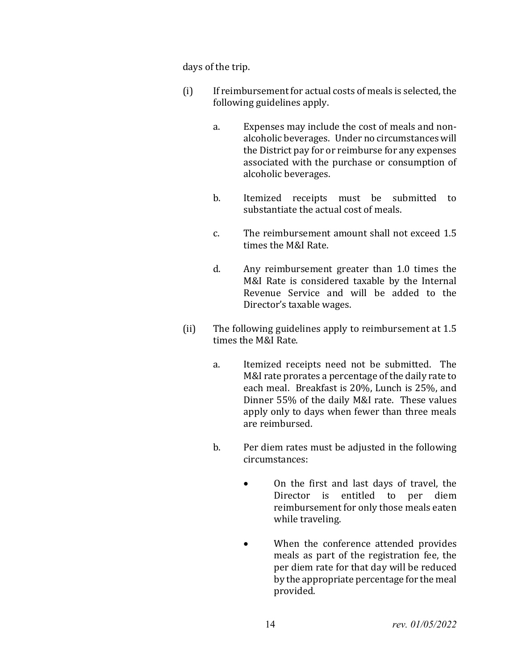days of the trip.

- (i) If reimbursement for actual costs of meals is selected, the following guidelines apply.
	- a. Expenses may include the cost of meals and nonalcoholic beverages. Under no circumstances will the District pay for or reimburse for any expenses associated with the purchase or consumption of alcoholic beverages.
	- b. Itemized receipts must be submitted to substantiate the actual cost of meals.
	- c. The reimbursement amount shall not exceed 1.5 times the M&I Rate.
	- d. Any reimbursement greater than 1.0 times the M&I Rate is considered taxable by the Internal Revenue Service and will be added to the Director's taxable wages.
- (ii) The following guidelines apply to reimbursement at 1.5 times the M&I Rate.
	- a. Itemized receipts need not be submitted. The M&I rate prorates a percentage of the daily rate to each meal. Breakfast is 20%, Lunch is 25%, and Dinner 55% of the daily M&I rate. These values apply only to days when fewer than three meals are reimbursed.
	- b. Per diem rates must be adjusted in the following circumstances:
		- On the first and last days of travel, the Director is entitled to per diem reimbursement for only those meals eaten while traveling.
		- When the conference attended provides meals as part of the registration fee, the per diem rate for that day will be reduced by the appropriate percentage for the meal provided.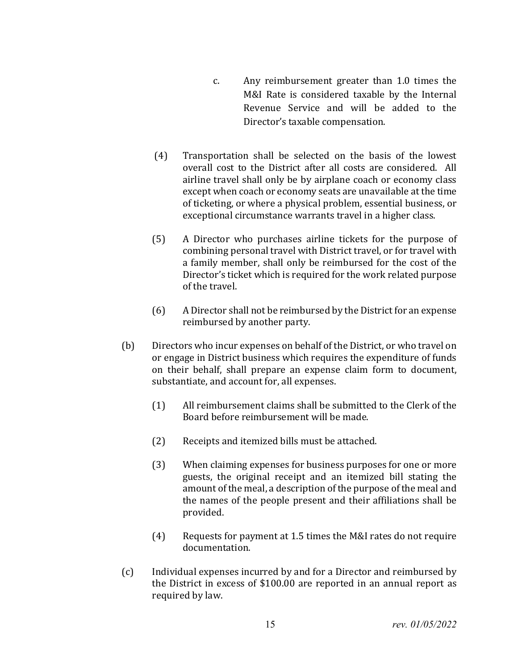- c. Any reimbursement greater than 1.0 times the M&I Rate is considered taxable by the Internal Revenue Service and will be added to the Director's taxable compensation.
- (4) Transportation shall be selected on the basis of the lowest overall cost to the District after all costs are considered. All airline travel shall only be by airplane coach or economy class except when coach or economy seats are unavailable at the time of ticketing, or where a physical problem, essential business, or exceptional circumstance warrants travel in a higher class.
- (5) A Director who purchases airline tickets for the purpose of combining personal travel with District travel, or for travel with a family member, shall only be reimbursed for the cost of the Director's ticket which is required for the work related purpose of the travel.
- (6) A Director shall not be reimbursed by the District for an expense reimbursed by another party.
- (b) Directors who incur expenses on behalf of the District, or who travel on or engage in District business which requires the expenditure of funds on their behalf, shall prepare an expense claim form to document, substantiate, and account for, all expenses.
	- (1) All reimbursement claims shall be submitted to the Clerk of the Board before reimbursement will be made.
	- (2) Receipts and itemized bills must be attached.
	- (3) When claiming expenses for business purposes for one or more guests, the original receipt and an itemized bill stating the amount of the meal, a description of the purpose of the meal and the names of the people present and their affiliations shall be provided.
	- (4) Requests for payment at 1.5 times the M&I rates do not require documentation.
- (c) Individual expenses incurred by and for a Director and reimbursed by the District in excess of \$100.00 are reported in an annual report as required by law.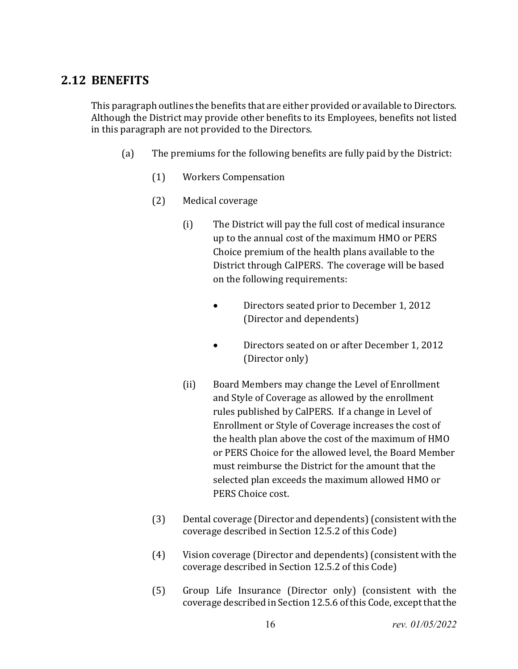# <span id="page-15-0"></span>**2.12 BENEFITS**

This paragraph outlines the benefits that are either provided or available to Directors. Although the District may provide other benefits to its Employees, benefits not listed in this paragraph are not provided to the Directors.

- (a) The premiums for the following benefits are fully paid by the District:
	- (1) Workers Compensation
	- (2) Medical coverage
		- (i) The District will pay the full cost of medical insurance up to the annual cost of the maximum HMO or PERS Choice premium of the health plans available to the District through CalPERS. The coverage will be based on the following requirements:
			- Directors seated prior to December 1, 2012 (Director and dependents)
			- Directors seated on or after December 1, 2012 (Director only)
		- (ii) Board Members may change the Level of Enrollment and Style of Coverage as allowed by the enrollment rules published by CalPERS. If a change in Level of Enrollment or Style of Coverage increases the cost of the health plan above the cost of the maximum of HMO or PERS Choice for the allowed level, the Board Member must reimburse the District for the amount that the selected plan exceeds the maximum allowed HMO or PERS Choice cost.
	- (3) Dental coverage (Director and dependents) (consistent with the coverage described in Section 12.5.2 of this Code)
	- (4) Vision coverage (Director and dependents) (consistent with the coverage described in Section 12.5.2 of this Code)
	- (5) Group Life Insurance (Director only) (consistent with the coverage described in Section 12.5.6 of this Code, except that the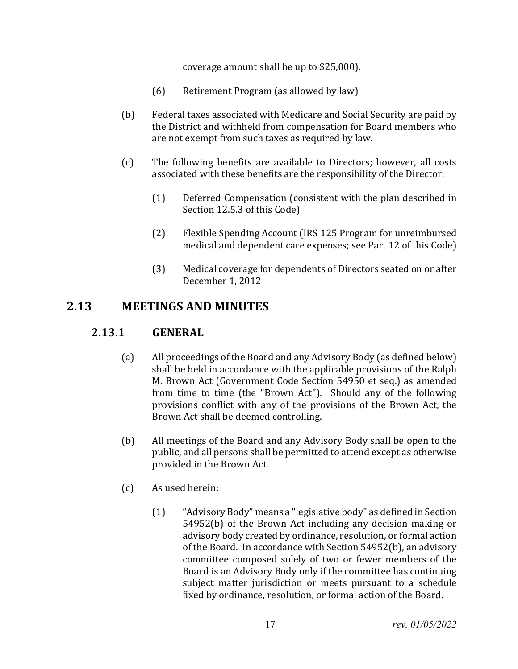coverage amount shall be up to \$25,000).

- (6) Retirement Program (as allowed by law)
- (b) Federal taxes associated with Medicare and Social Security are paid by the District and withheld from compensation for Board members who are not exempt from such taxes as required by law.
- (c) The following benefits are available to Directors; however, all costs associated with these benefits are the responsibility of the Director:
	- (1) Deferred Compensation (consistent with the plan described in Section 12.5.3 of this Code)
	- (2) Flexible Spending Account (IRS 125 Program for unreimbursed medical and dependent care expenses; see Part 12 of this Code)
	- (3) Medical coverage for dependents of Directors seated on or after December 1, 2012

# <span id="page-16-0"></span> **2.13 MEETINGS AND MINUTES**

## **2.13.1 GENERAL**

- (a) All proceedings of the Board and any Advisory Body (as defined below) shall be held in accordance with the applicable provisions of the Ralph M. Brown Act (Government Code Section 54950 et seq.) as amended from time to time (the "Brown Act"). Should any of the following provisions conflict with any of the provisions of the Brown Act, the Brown Act shall be deemed controlling.
- (b) All meetings of the Board and any Advisory Body shall be open to the public, and all persons shall be permitted to attend except as otherwise provided in the Brown Act.
- (c) As used herein:
	- (1) "Advisory Body" means a "legislative body" as defined in Section 54952(b) of the Brown Act including any decision-making or advisory body created by ordinance, resolution, or formal action of the Board. In accordance with Section 54952(b), an advisory committee composed solely of two or fewer members of the Board is an Advisory Body only if the committee has continuing subject matter jurisdiction or meets pursuant to a schedule fixed by ordinance, resolution, or formal action of the Board.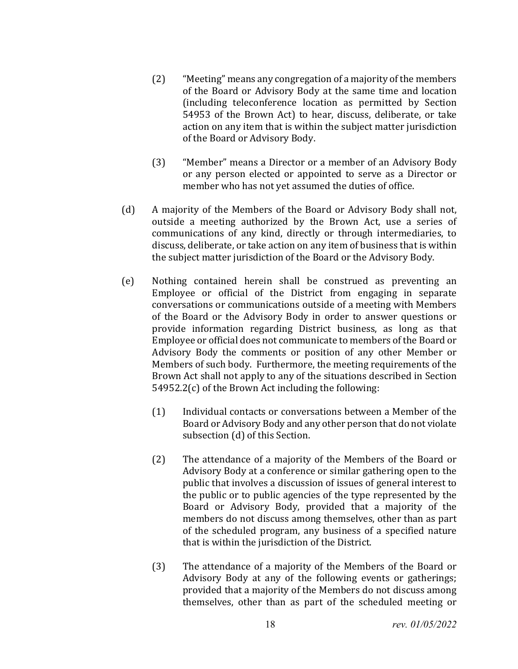- (2) "Meeting" means any congregation of a majority of the members of the Board or Advisory Body at the same time and location (including teleconference location as permitted by Section 54953 of the Brown Act) to hear, discuss, deliberate, or take action on any item that is within the subject matter jurisdiction of the Board or Advisory Body.
- (3) "Member" means a Director or a member of an Advisory Body or any person elected or appointed to serve as a Director or member who has not yet assumed the duties of office.
- (d) A majority of the Members of the Board or Advisory Body shall not, outside a meeting authorized by the Brown Act, use a series of communications of any kind, directly or through intermediaries, to discuss, deliberate, or take action on any item of business that is within the subject matter jurisdiction of the Board or the Advisory Body.
- (e) Nothing contained herein shall be construed as preventing an Employee or official of the District from engaging in separate conversations or communications outside of a meeting with Members of the Board or the Advisory Body in order to answer questions or provide information regarding District business, as long as that Employee or official does not communicate to members of the Board or Advisory Body the comments or position of any other Member or Members of such body. Furthermore, the meeting requirements of the Brown Act shall not apply to any of the situations described in Section 54952.2(c) of the Brown Act including the following:
	- (1) Individual contacts or conversations between a Member of the Board or Advisory Body and any other person that do not violate subsection (d) of this Section.
	- (2) The attendance of a majority of the Members of the Board or Advisory Body at a conference or similar gathering open to the public that involves a discussion of issues of general interest to the public or to public agencies of the type represented by the Board or Advisory Body, provided that a majority of the members do not discuss among themselves, other than as part of the scheduled program, any business of a specified nature that is within the jurisdiction of the District.
	- (3) The attendance of a majority of the Members of the Board or Advisory Body at any of the following events or gatherings; provided that a majority of the Members do not discuss among themselves, other than as part of the scheduled meeting or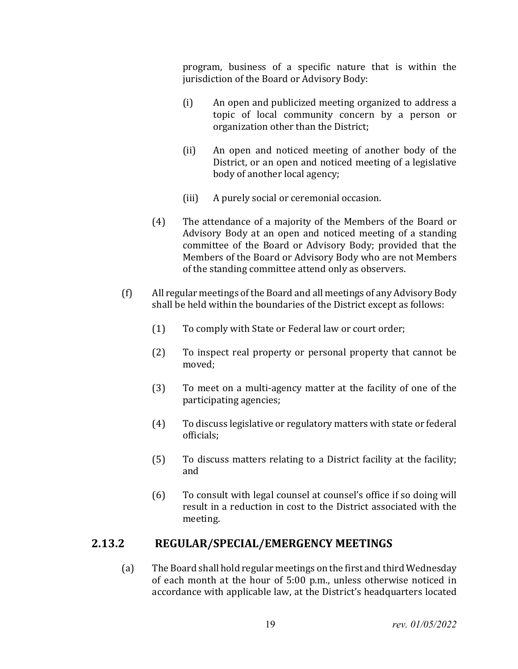program, business of a specific nature that is within the jurisdiction of the Board or Advisory Body:

- (i) An open and publicized meeting organized to address a topic of local community concern by a person or organization other than the District;
- (ii) An open and noticed meeting of another body of the District, or an open and noticed meeting of a legislative body of another local agency;
- (iii) A purely social or ceremonial occasion.
- (4) The attendance of a majority of the Members of the Board or Advisory Body at an open and noticed meeting of a standing committee of the Board or Advisory Body; provided that the Members of the Board or Advisory Body who are not Members of the standing committee attend only as observers.
- (f) All regular meetings of the Board and all meetings of any Advisory Body shall be held within the boundaries of the District except as follows:
	- (1) To comply with State or Federal law or court order;
	- (2) To inspect real property or personal property that cannot be moved;
	- (3) To meet on a multi-agency matter at the facility of one of the participating agencies;
	- (4) To discuss legislative or regulatory matters with state or federal officials;
	- (5) To discuss matters relating to a District facility at the facility; and
	- (6) To consult with legal counsel at counsel's office if so doing will result in a reduction in cost to the District associated with the meeting.

## **2.13.2 REGULAR/SPECIAL/EMERGENCY MEETINGS**

(a) The Board shall hold regular meetings on the first and third Wednesday of each month at the hour of 5:00 p.m., unless otherwise noticed in accordance with applicable law, at the District's headquarters located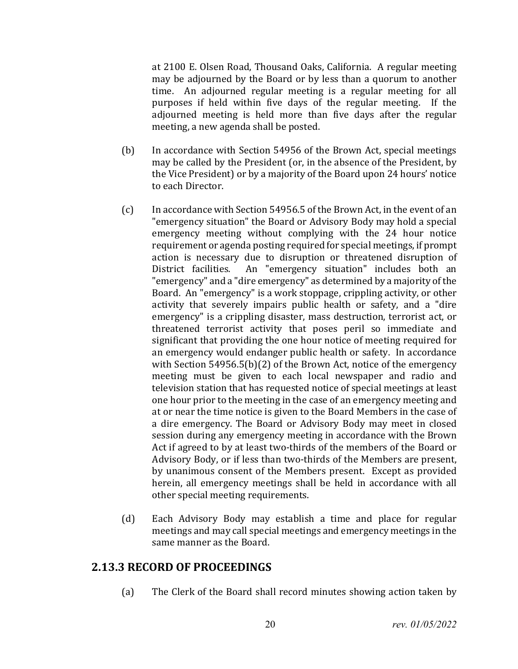at 2100 E. Olsen Road, Thousand Oaks, California. A regular meeting may be adjourned by the Board or by less than a quorum to another time. An adjourned regular meeting is a regular meeting for all purposes if held within five days of the regular meeting. If the adjourned meeting is held more than five days after the regular meeting, a new agenda shall be posted.

- (b) In accordance with Section 54956 of the Brown Act, special meetings may be called by the President (or, in the absence of the President, by the Vice President) or by a majority of the Board upon 24 hours' notice to each Director.
- (c) In accordance with Section 54956.5 of the Brown Act, in the event of an "emergency situation" the Board or Advisory Body may hold a special emergency meeting without complying with the 24 hour notice requirement or agenda posting required for special meetings, if prompt action is necessary due to disruption or threatened disruption of District facilities. An "emergency situation" includes both an An "emergency situation" includes both an "emergency" and a "dire emergency" as determined by a majority of the Board. An "emergency" is a work stoppage, crippling activity, or other activity that severely impairs public health or safety, and a "dire emergency" is a crippling disaster, mass destruction, terrorist act, or threatened terrorist activity that poses peril so immediate and significant that providing the one hour notice of meeting required for an emergency would endanger public health or safety. In accordance with Section 54956.5(b)(2) of the Brown Act, notice of the emergency meeting must be given to each local newspaper and radio and television station that has requested notice of special meetings at least one hour prior to the meeting in the case of an emergency meeting and at or near the time notice is given to the Board Members in the case of a dire emergency. The Board or Advisory Body may meet in closed session during any emergency meeting in accordance with the Brown Act if agreed to by at least two-thirds of the members of the Board or Advisory Body, or if less than two-thirds of the Members are present, by unanimous consent of the Members present. Except as provided herein, all emergency meetings shall be held in accordance with all other special meeting requirements.
- (d) Each Advisory Body may establish a time and place for regular meetings and may call special meetings and emergency meetings in the same manner as the Board.

#### **2.13.3 RECORD OF PROCEEDINGS**

(a) The Clerk of the Board shall record minutes showing action taken by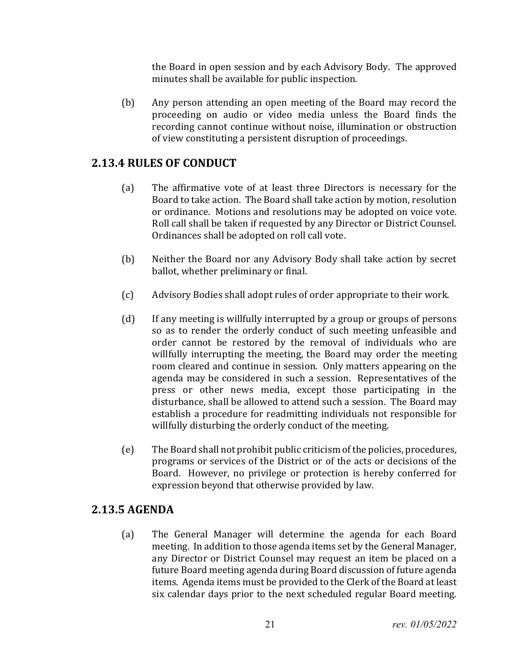the Board in open session and by each Advisory Body. The approved minutes shall be available for public inspection.

(b) Any person attending an open meeting of the Board may record the proceeding on audio or video media unless the Board finds the recording cannot continue without noise, illumination or obstruction of view constituting a persistent disruption of proceedings.

#### **2.13.4 RULES OF CONDUCT**

- (a) The affirmative vote of at least three Directors is necessary for the Board to take action. The Board shall take action by motion, resolution or ordinance. Motions and resolutions may be adopted on voice vote. Roll call shall be taken if requested by any Director or District Counsel. Ordinances shall be adopted on roll call vote.
- (b) Neither the Board nor any Advisory Body shall take action by secret ballot, whether preliminary or final.
- (c) Advisory Bodies shall adopt rules of order appropriate to their work.
- (d) If any meeting is willfully interrupted by a group or groups of persons so as to render the orderly conduct of such meeting unfeasible and order cannot be restored by the removal of individuals who are willfully interrupting the meeting, the Board may order the meeting room cleared and continue in session. Only matters appearing on the agenda may be considered in such a session. Representatives of the press or other news media, except those participating in the disturbance, shall be allowed to attend such a session. The Board may establish a procedure for readmitting individuals not responsible for willfully disturbing the orderly conduct of the meeting.
- (e) The Board shall not prohibit public criticism of the policies, procedures, programs or services of the District or of the acts or decisions of the Board. However, no privilege or protection is hereby conferred for expression beyond that otherwise provided by law.

#### **2.13.5 AGENDA**

(a) The General Manager will determine the agenda for each Board meeting. In addition to those agenda items set by the General Manager, any Director or District Counsel may request an item be placed on a future Board meeting agenda during Board discussion of future agenda items. Agenda items must be provided to the Clerk of the Board at least six calendar days prior to the next scheduled regular Board meeting.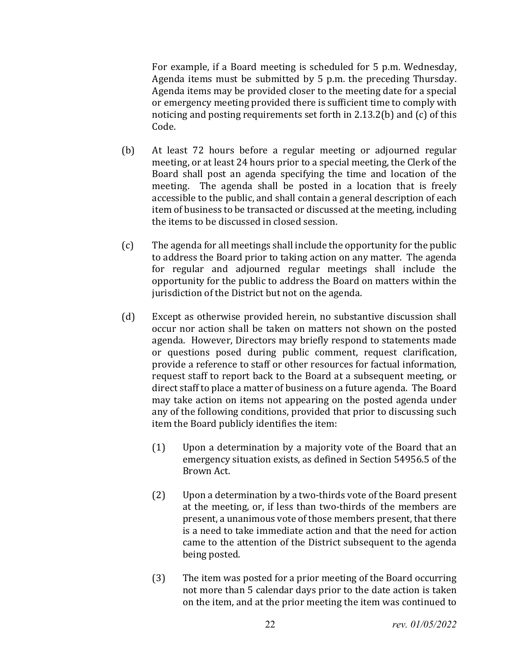For example, if a Board meeting is scheduled for 5 p.m. Wednesday, Agenda items must be submitted by 5 p.m. the preceding Thursday. Agenda items may be provided closer to the meeting date for a special or emergency meeting provided there is sufficient time to comply with noticing and posting requirements set forth in 2.13.2(b) and (c) of this Code.

- (b) At least 72 hours before a regular meeting or adjourned regular meeting, or at least 24 hours prior to a special meeting, the Clerk of the Board shall post an agenda specifying the time and location of the meeting. The agenda shall be posted in a location that is freely accessible to the public, and shall contain a general description of each item of business to be transacted or discussed at the meeting, including the items to be discussed in closed session.
- (c) The agenda for all meetings shall include the opportunity for the public to address the Board prior to taking action on any matter. The agenda for regular and adjourned regular meetings shall include the opportunity for the public to address the Board on matters within the jurisdiction of the District but not on the agenda.
- (d) Except as otherwise provided herein, no substantive discussion shall occur nor action shall be taken on matters not shown on the posted agenda. However, Directors may briefly respond to statements made or questions posed during public comment, request clarification, provide a reference to staff or other resources for factual information, request staff to report back to the Board at a subsequent meeting, or direct staff to place a matter of business on a future agenda. The Board may take action on items not appearing on the posted agenda under any of the following conditions, provided that prior to discussing such item the Board publicly identifies the item:
	- (1) Upon a determination by a majority vote of the Board that an emergency situation exists, as defined in Section 54956.5 of the Brown Act.
	- (2) Upon a determination by a two-thirds vote of the Board present at the meeting, or, if less than two-thirds of the members are present, a unanimous vote of those members present, that there is a need to take immediate action and that the need for action came to the attention of the District subsequent to the agenda being posted.
	- (3) The item was posted for a prior meeting of the Board occurring not more than 5 calendar days prior to the date action is taken on the item, and at the prior meeting the item was continued to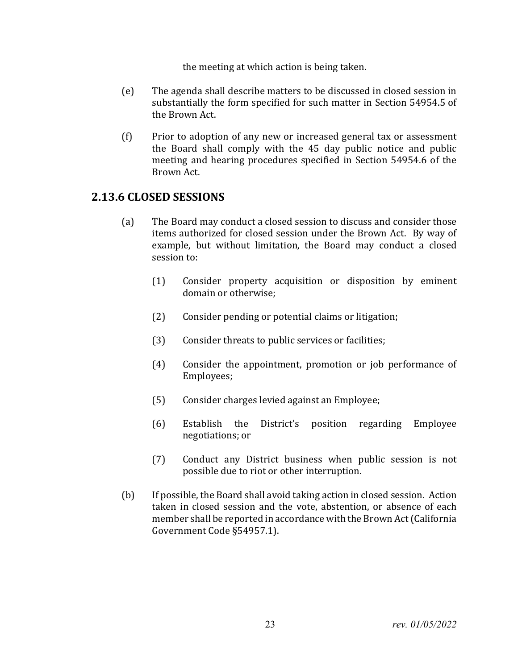the meeting at which action is being taken.

- (e) The agenda shall describe matters to be discussed in closed session in substantially the form specified for such matter in Section 54954.5 of the Brown Act.
- (f) Prior to adoption of any new or increased general tax or assessment the Board shall comply with the 45 day public notice and public meeting and hearing procedures specified in Section 54954.6 of the Brown Act.

#### **2.13.6 CLOSED SESSIONS**

- (a) The Board may conduct a closed session to discuss and consider those items authorized for closed session under the Brown Act. By way of example, but without limitation, the Board may conduct a closed session to:
	- (1) Consider property acquisition or disposition by eminent domain or otherwise;
	- (2) Consider pending or potential claims or litigation;
	- (3) Consider threats to public services or facilities;
	- (4) Consider the appointment, promotion or job performance of Employees;
	- (5) Consider charges levied against an Employee;
	- (6) Establish the District's position regarding Employee negotiations; or
	- (7) Conduct any District business when public session is not possible due to riot or other interruption.
- (b) If possible, the Board shall avoid taking action in closed session. Action taken in closed session and the vote, abstention, or absence of each member shall be reported in accordance with the Brown Act (California Government Code §54957.1).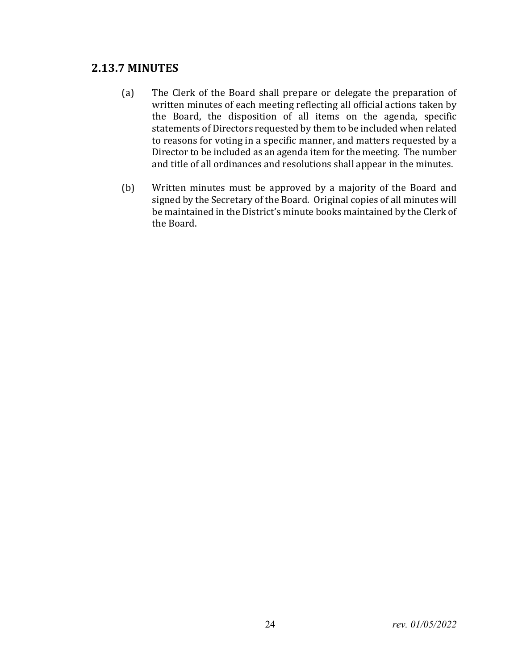#### **2.13.7 MINUTES**

- (a) The Clerk of the Board shall prepare or delegate the preparation of written minutes of each meeting reflecting all official actions taken by the Board, the disposition of all items on the agenda, specific statements of Directors requested by them to be included when related to reasons for voting in a specific manner, and matters requested by a Director to be included as an agenda item for the meeting. The number and title of all ordinances and resolutions shall appear in the minutes.
- (b) Written minutes must be approved by a majority of the Board and signed by the Secretary of the Board. Original copies of all minutes will be maintained in the District's minute books maintained by the Clerk of the Board.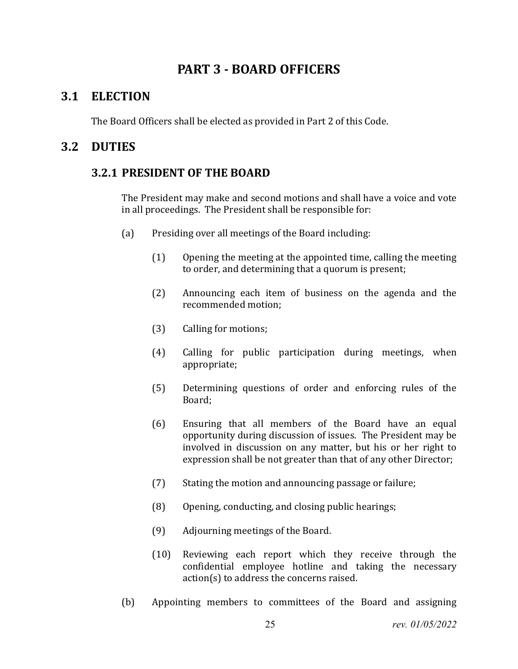# **PART 3 - BOARD OFFICERS**

## <span id="page-24-1"></span><span id="page-24-0"></span>**3.1 ELECTION**

The Board Officers shall be elected as provided in Part 2 of this Code.

## <span id="page-24-2"></span>**3.2 DUTIES**

#### **3.2.1 PRESIDENT OF THE BOARD**

The President may make and second motions and shall have a voice and vote in all proceedings. The President shall be responsible for:

- (a) Presiding over all meetings of the Board including:
	- (1) Opening the meeting at the appointed time, calling the meeting to order, and determining that a quorum is present;
	- (2) Announcing each item of business on the agenda and the recommended motion;
	- (3) Calling for motions;
	- (4) Calling for public participation during meetings, when appropriate;
	- (5) Determining questions of order and enforcing rules of the Board;
	- (6) Ensuring that all members of the Board have an equal opportunity during discussion of issues. The President may be involved in discussion on any matter, but his or her right to expression shall be not greater than that of any other Director;
	- (7) Stating the motion and announcing passage or failure;
	- (8) Opening, conducting, and closing public hearings;
	- (9) Adjourning meetings of the Board.
	- (10) Reviewing each report which they receive through the confidential employee hotline and taking the necessary action(s) to address the concerns raised.
- (b) Appointing members to committees of the Board and assigning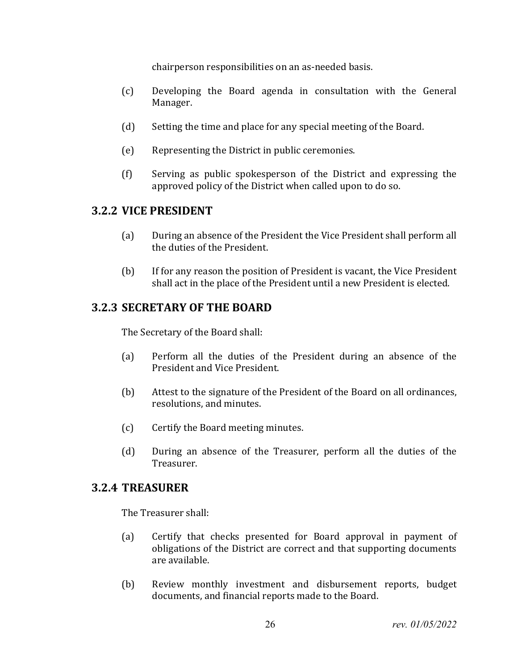chairperson responsibilities on an as-needed basis.

- (c) Developing the Board agenda in consultation with the General Manager.
- (d) Setting the time and place for any special meeting of the Board.
- (e) Representing the District in public ceremonies.
- (f) Serving as public spokesperson of the District and expressing the approved policy of the District when called upon to do so.

#### **3.2.2 VICE PRESIDENT**

- (a) During an absence of the President the Vice President shall perform all the duties of the President.
- (b) If for any reason the position of President is vacant, the Vice President shall act in the place of the President until a new President is elected.

#### **3.2.3 SECRETARY OF THE BOARD**

The Secretary of the Board shall:

- (a) Perform all the duties of the President during an absence of the President and Vice President.
- (b) Attest to the signature of the President of the Board on all ordinances, resolutions, and minutes.
- (c) Certify the Board meeting minutes.
- (d) During an absence of the Treasurer, perform all the duties of the Treasurer.

#### **3.2.4 TREASURER**

The Treasurer shall:

- (a) Certify that checks presented for Board approval in payment of obligations of the District are correct and that supporting documents are available.
- (b) Review monthly investment and disbursement reports, budget documents, and financial reports made to the Board.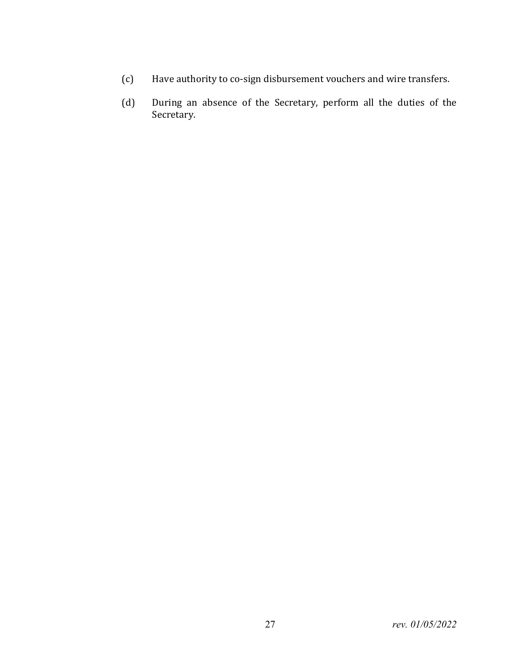- (c) Have authority to co-sign disbursement vouchers and wire transfers.
- (d) During an absence of the Secretary, perform all the duties of the Secretary.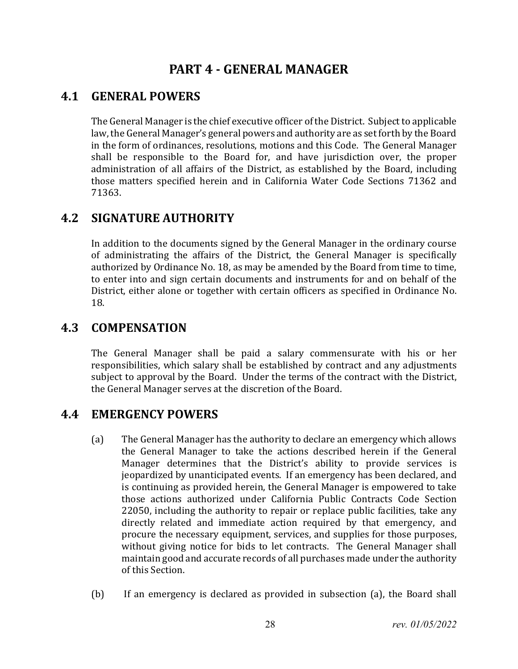# **PART 4 - GENERAL MANAGER**

# <span id="page-27-1"></span><span id="page-27-0"></span>**4.1 GENERAL POWERS**

The General Manager is the chief executive officer of the District. Subject to applicable law, the General Manager's general powers and authority are as set forth by the Board in the form of ordinances, resolutions, motions and this Code. The General Manager shall be responsible to the Board for, and have jurisdiction over, the proper administration of all affairs of the District, as established by the Board, including those matters specified herein and in California Water Code Sections 71362 and 71363.

# <span id="page-27-2"></span>**4.2 SIGNATURE AUTHORITY**

In addition to the documents signed by the General Manager in the ordinary course of administrating the affairs of the District, the General Manager is specifically authorized by Ordinance No. 18, as may be amended by the Board from time to time, to enter into and sign certain documents and instruments for and on behalf of the District, either alone or together with certain officers as specified in Ordinance No. 18.

## <span id="page-27-3"></span>**4.3 COMPENSATION**

The General Manager shall be paid a salary commensurate with his or her responsibilities, which salary shall be established by contract and any adjustments subject to approval by the Board. Under the terms of the contract with the District, the General Manager serves at the discretion of the Board.

## <span id="page-27-4"></span>**4.4 EMERGENCY POWERS**

- (a) The General Manager has the authority to declare an emergency which allows the General Manager to take the actions described herein if the General Manager determines that the District's ability to provide services is jeopardized by unanticipated events. If an emergency has been declared, and is continuing as provided herein, the General Manager is empowered to take those actions authorized under California Public Contracts Code Section 22050, including the authority to repair or replace public facilities, take any directly related and immediate action required by that emergency, and procure the necessary equipment, services, and supplies for those purposes, without giving notice for bids to let contracts. The General Manager shall maintain good and accurate records of all purchases made under the authority of this Section.
- (b) If an emergency is declared as provided in subsection (a), the Board shall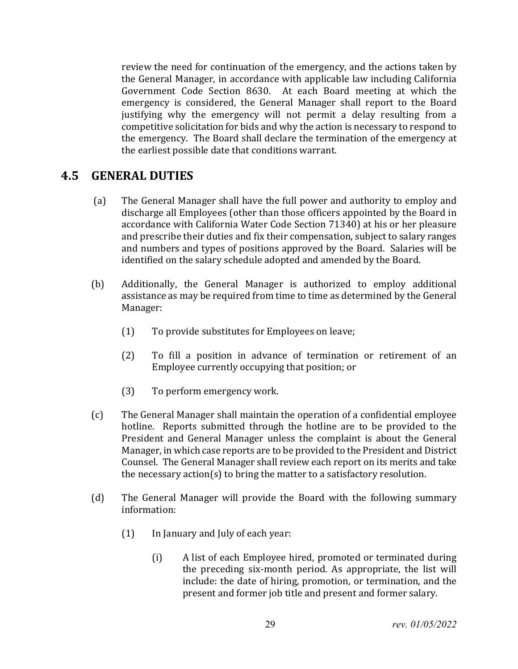review the need for continuation of the emergency, and the actions taken by the General Manager, in accordance with applicable law including California Government Code Section 8630. At each Board meeting at which the emergency is considered, the General Manager shall report to the Board justifying why the emergency will not permit a delay resulting from a competitive solicitation for bids and why the action is necessary to respond to the emergency. The Board shall declare the termination of the emergency at the earliest possible date that conditions warrant.

#### <span id="page-28-0"></span>**4.5 GENERAL DUTIES**

- (a) The General Manager shall have the full power and authority to employ and discharge all Employees (other than those officers appointed by the Board in accordance with California Water Code Section 71340) at his or her pleasure and prescribe their duties and fix their compensation, subject to salary ranges and numbers and types of positions approved by the Board. Salaries will be identified on the salary schedule adopted and amended by the Board.
- (b) Additionally, the General Manager is authorized to employ additional assistance as may be required from time to time as determined by the General Manager:
	- (1) To provide substitutes for Employees on leave;
	- (2) To fill a position in advance of termination or retirement of an Employee currently occupying that position; or
	- (3) To perform emergency work.
- (c) The General Manager shall maintain the operation of a confidential employee hotline. Reports submitted through the hotline are to be provided to the President and General Manager unless the complaint is about the General Manager, in which case reports are to be provided to the President and District Counsel. The General Manager shall review each report on its merits and take the necessary action(s) to bring the matter to a satisfactory resolution.
- (d) The General Manager will provide the Board with the following summary information:
	- (1) In January and July of each year:
		- (i) A list of each Employee hired, promoted or terminated during the preceding six-month period. As appropriate, the list will include: the date of hiring, promotion, or termination, and the present and former job title and present and former salary.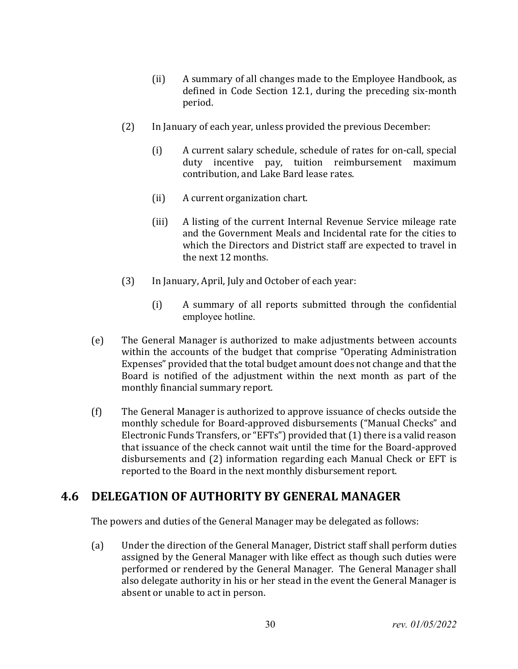- (ii) A summary of all changes made to the Employee Handbook, as defined in Code Section 12.1, during the preceding six-month period.
- (2) In January of each year, unless provided the previous December:
	- (i) A current salary schedule, schedule of rates for on-call, special duty incentive pay, tuition reimbursement maximum contribution, and Lake Bard lease rates.
	- (ii) A current organization chart.
	- (iii) A listing of the current Internal Revenue Service mileage rate and the Government Meals and Incidental rate for the cities to which the Directors and District staff are expected to travel in the next 12 months.
- (3) In January, April, July and October of each year:
	- (i) A summary of all reports submitted through the confidential employee hotline.
- (e) The General Manager is authorized to make adjustments between accounts within the accounts of the budget that comprise "Operating Administration Expenses" provided that the total budget amount does not change and that the Board is notified of the adjustment within the next month as part of the monthly financial summary report.
- (f) The General Manager is authorized to approve issuance of checks outside the monthly schedule for Board-approved disbursements ("Manual Checks" and Electronic Funds Transfers, or "EFTs") provided that (1) there is a valid reason that issuance of the check cannot wait until the time for the Board-approved disbursements and (2) information regarding each Manual Check or EFT is reported to the Board in the next monthly disbursement report.

# <span id="page-29-0"></span>**4.6 DELEGATION OF AUTHORITY BY GENERAL MANAGER**

The powers and duties of the General Manager may be delegated as follows:

(a) Under the direction of the General Manager, District staff shall perform duties assigned by the General Manager with like effect as though such duties were performed or rendered by the General Manager. The General Manager shall also delegate authority in his or her stead in the event the General Manager is absent or unable to act in person.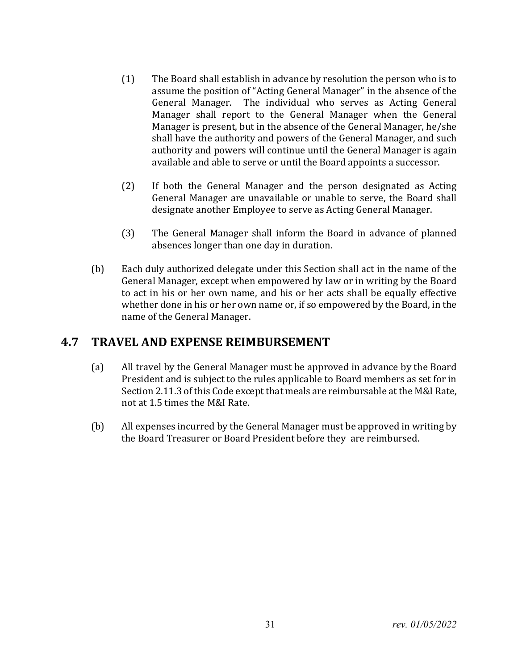- (1) The Board shall establish in advance by resolution the person who is to assume the position of "Acting General Manager" in the absence of the General Manager. The individual who serves as Acting General Manager shall report to the General Manager when the General Manager is present, but in the absence of the General Manager, he/she shall have the authority and powers of the General Manager, and such authority and powers will continue until the General Manager is again available and able to serve or until the Board appoints a successor.
- (2) If both the General Manager and the person designated as Acting General Manager are unavailable or unable to serve, the Board shall designate another Employee to serve as Acting General Manager.
- (3) The General Manager shall inform the Board in advance of planned absences longer than one day in duration.
- (b) Each duly authorized delegate under this Section shall act in the name of the General Manager, except when empowered by law or in writing by the Board to act in his or her own name, and his or her acts shall be equally effective whether done in his or her own name or, if so empowered by the Board, in the name of the General Manager.

## <span id="page-30-0"></span>**4.7 TRAVEL AND EXPENSE REIMBURSEMENT**

- (a) All travel by the General Manager must be approved in advance by the Board President and is subject to the rules applicable to Board members as set for in Section 2.11.3 of this Code except that meals are reimbursable at the M&I Rate, not at 1.5 times the M&I Rate.
- (b) All expenses incurred by the General Manager must be approved in writing by the Board Treasurer or Board President before they are reimbursed.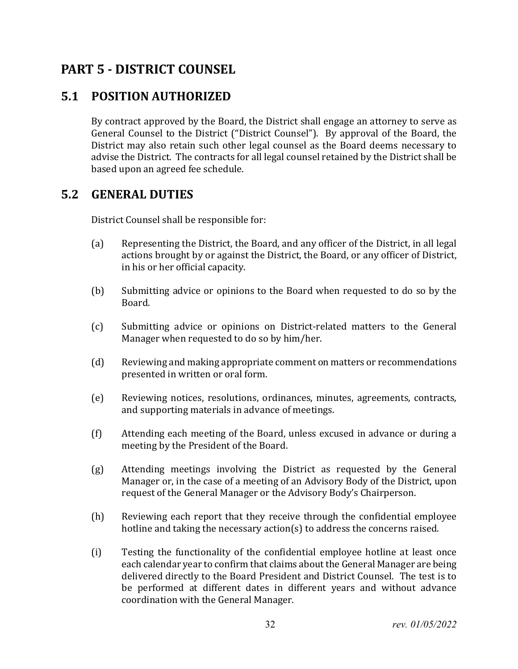# <span id="page-31-0"></span>**PART 5 - DISTRICT COUNSEL**

# <span id="page-31-1"></span>**5.1 POSITION AUTHORIZED**

By contract approved by the Board, the District shall engage an attorney to serve as General Counsel to the District ("District Counsel"). By approval of the Board, the District may also retain such other legal counsel as the Board deems necessary to advise the District. The contracts for all legal counsel retained by the District shall be based upon an agreed fee schedule.

## <span id="page-31-2"></span>**5.2 GENERAL DUTIES**

District Counsel shall be responsible for:

- (a) Representing the District, the Board, and any officer of the District, in all legal actions brought by or against the District, the Board, or any officer of District, in his or her official capacity.
- (b) Submitting advice or opinions to the Board when requested to do so by the Board.
- (c) Submitting advice or opinions on District-related matters to the General Manager when requested to do so by him/her.
- (d) Reviewing and making appropriate comment on matters or recommendations presented in written or oral form.
- (e) Reviewing notices, resolutions, ordinances, minutes, agreements, contracts, and supporting materials in advance of meetings.
- (f) Attending each meeting of the Board, unless excused in advance or during a meeting by the President of the Board.
- (g) Attending meetings involving the District as requested by the General Manager or, in the case of a meeting of an Advisory Body of the District, upon request of the General Manager or the Advisory Body's Chairperson.
- (h) Reviewing each report that they receive through the confidential employee hotline and taking the necessary action(s) to address the concerns raised.
- (i) Testing the functionality of the confidential employee hotline at least once each calendar year to confirm that claims about the General Manager are being delivered directly to the Board President and District Counsel. The test is to be performed at different dates in different years and without advance coordination with the General Manager.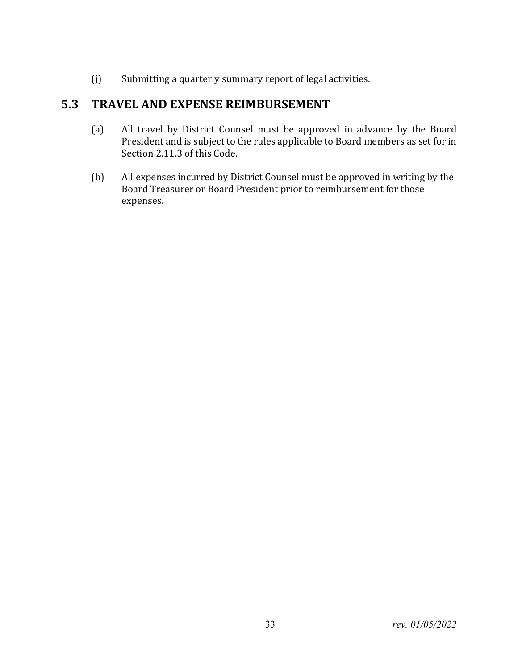(j) Submitting a quarterly summary report of legal activities.

# <span id="page-32-0"></span>**5.3 TRAVEL AND EXPENSE REIMBURSEMENT**

- (a) All travel by District Counsel must be approved in advance by the Board President and is subject to the rules applicable to Board members as set for in Section 2.11.3 of this Code.
- (b) All expenses incurred by District Counsel must be approved in writing by the Board Treasurer or Board President prior to reimbursement for those expenses.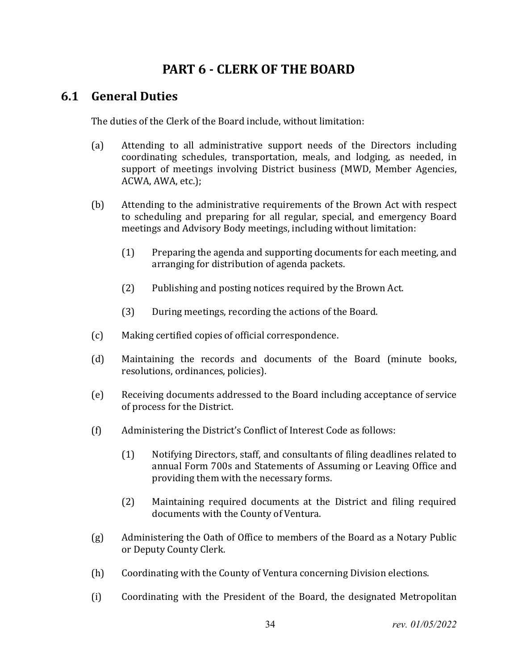# **PART 6 - CLERK OF THE BOARD**

### <span id="page-33-0"></span>**6.1 General Duties**

The duties of the Clerk of the Board include, without limitation:

- (a) Attending to all administrative support needs of the Directors including coordinating schedules, transportation, meals, and lodging, as needed, in support of meetings involving District business (MWD, Member Agencies, ACWA, AWA, etc.);
- (b) Attending to the administrative requirements of the Brown Act with respect to scheduling and preparing for all regular, special, and emergency Board meetings and Advisory Body meetings, including without limitation:
	- (1) Preparing the agenda and supporting documents for each meeting, and arranging for distribution of agenda packets.
	- (2) Publishing and posting notices required by the Brown Act.
	- (3) During meetings, recording the actions of the Board.
- (c) Making certified copies of official correspondence.
- (d) Maintaining the records and documents of the Board (minute books, resolutions, ordinances, policies).
- (e) Receiving documents addressed to the Board including acceptance of service of process for the District.
- (f) Administering the District's Conflict of Interest Code as follows:
	- (1) Notifying Directors, staff, and consultants of filing deadlines related to annual Form 700s and Statements of Assuming or Leaving Office and providing them with the necessary forms.
	- (2) Maintaining required documents at the District and filing required documents with the County of Ventura.
- (g) Administering the Oath of Office to members of the Board as a Notary Public or Deputy County Clerk.
- (h) Coordinating with the County of Ventura concerning Division elections.
- (i) Coordinating with the President of the Board, the designated Metropolitan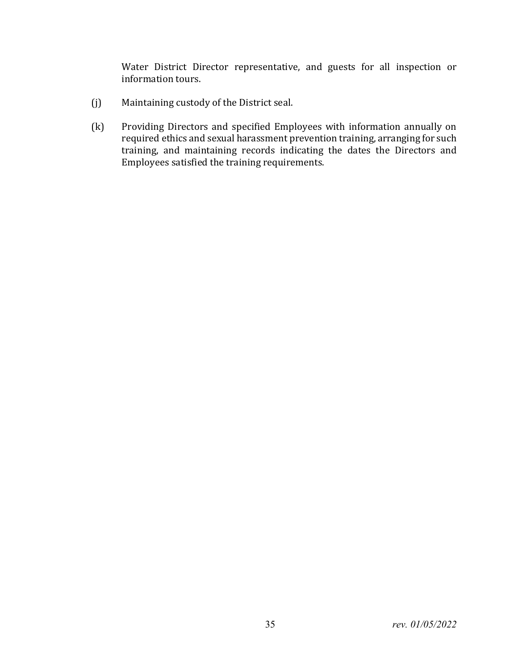Water District Director representative, and guests for all inspection or information tours.

- (j) Maintaining custody of the District seal.
- (k) Providing Directors and specified Employees with information annually on required ethics and sexual harassment prevention training, arranging for such training, and maintaining records indicating the dates the Directors and Employees satisfied the training requirements.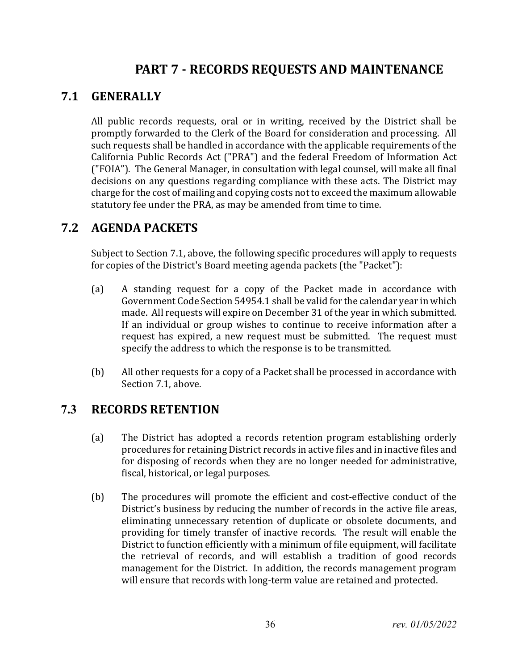# **PART 7 - RECORDS REQUESTS AND MAINTENANCE**

## <span id="page-35-1"></span><span id="page-35-0"></span>**7.1 GENERALLY**

All public records requests, oral or in writing, received by the District shall be promptly forwarded to the Clerk of the Board for consideration and processing. All such requests shall be handled in accordance with the applicable requirements of the California Public Records Act ("PRA") and the federal Freedom of Information Act ("FOIA"). The General Manager, in consultation with legal counsel, will make all final decisions on any questions regarding compliance with these acts. The District may charge for the cost of mailing and copying costs not to exceed the maximum allowable statutory fee under the PRA, as may be amended from time to time.

## <span id="page-35-2"></span>**7.2 AGENDA PACKETS**

Subject to Section 7.1, above, the following specific procedures will apply to requests for copies of the District's Board meeting agenda packets (the "Packet"):

- (a) A standing request for a copy of the Packet made in accordance with Government Code Section 54954.1 shall be valid for the calendar year in which made. All requests will expire on December 31 of the year in which submitted. If an individual or group wishes to continue to receive information after a request has expired, a new request must be submitted. The request must specify the address to which the response is to be transmitted.
- (b) All other requests for a copy of a Packet shall be processed in accordance with Section 7.1, above.

## <span id="page-35-3"></span>**7.3 RECORDS RETENTION**

- (a) The District has adopted a records retention program establishing orderly procedures for retaining District records in active files and in inactive files and for disposing of records when they are no longer needed for administrative, fiscal, historical, or legal purposes.
- (b) The procedures will promote the efficient and cost-effective conduct of the District's business by reducing the number of records in the active file areas, eliminating unnecessary retention of duplicate or obsolete documents, and providing for timely transfer of inactive records. The result will enable the District to function efficiently with a minimum of file equipment, will facilitate the retrieval of records, and will establish a tradition of good records management for the District. In addition, the records management program will ensure that records with long-term value are retained and protected.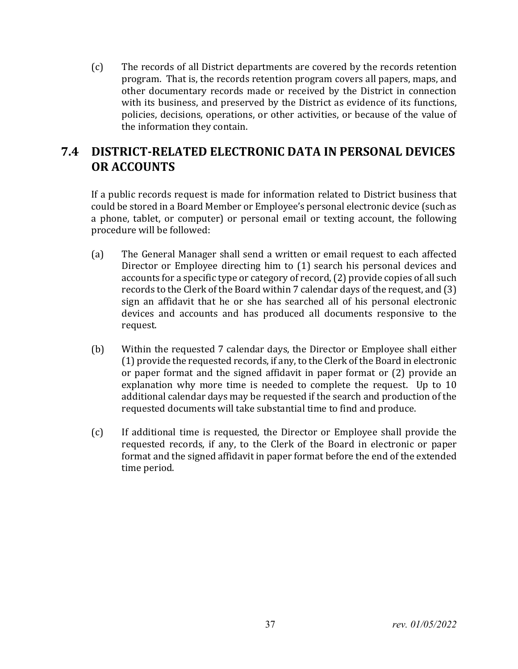(c) The records of all District departments are covered by the records retention program. That is, the records retention program covers all papers, maps, and other documentary records made or received by the District in connection with its business, and preserved by the District as evidence of its functions, policies, decisions, operations, or other activities, or because of the value of the information they contain.

## **7.4 DISTRICT-RELATED ELECTRONIC DATA IN PERSONAL DEVICES OR ACCOUNTS**

If a public records request is made for information related to District business that could be stored in a Board Member or Employee's personal electronic device (such as a phone, tablet, or computer) or personal email or texting account, the following procedure will be followed:

- (a) The General Manager shall send a written or email request to each affected Director or Employee directing him to (1) search his personal devices and accounts for a specific type or category of record, (2) provide copies of all such records to the Clerk of the Board within 7 calendar days of the request, and (3) sign an affidavit that he or she has searched all of his personal electronic devices and accounts and has produced all documents responsive to the request.
- (b) Within the requested 7 calendar days, the Director or Employee shall either (1) provide the requested records, if any, to the Clerk of the Board in electronic or paper format and the signed affidavit in paper format or (2) provide an explanation why more time is needed to complete the request. Up to 10 additional calendar days may be requested if the search and production of the requested documents will take substantial time to find and produce.
- (c) If additional time is requested, the Director or Employee shall provide the requested records, if any, to the Clerk of the Board in electronic or paper format and the signed affidavit in paper format before the end of the extended time period.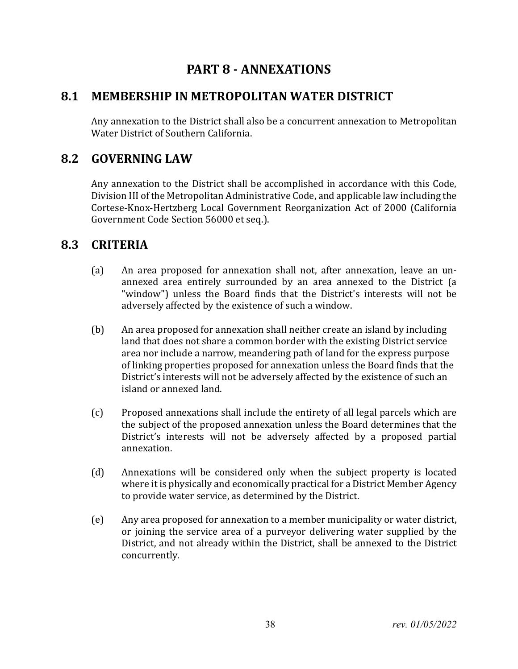# **PART 8 - ANNEXATIONS**

### **8.1 MEMBERSHIP IN METROPOLITAN WATER DISTRICT**

Any annexation to the District shall also be a concurrent annexation to Metropolitan Water District of Southern California.

## **8.2 GOVERNING LAW**

Any annexation to the District shall be accomplished in accordance with this Code, Division III of the Metropolitan Administrative Code, and applicable law including the Cortese-Knox-Hertzberg Local Government Reorganization Act of 2000 (California Government Code Section 56000 et seq.).

### **8.3 CRITERIA**

- (a) An area proposed for annexation shall not, after annexation, leave an unannexed area entirely surrounded by an area annexed to the District (a "window") unless the Board finds that the District's interests will not be adversely affected by the existence of such a window.
- (b) An area proposed for annexation shall neither create an island by including land that does not share a common border with the existing District service area nor include a narrow, meandering path of land for the express purpose of linking properties proposed for annexation unless the Board finds that the District's interests will not be adversely affected by the existence of such an island or annexed land.
- (c) Proposed annexations shall include the entirety of all legal parcels which are the subject of the proposed annexation unless the Board determines that the District's interests will not be adversely affected by a proposed partial annexation.
- (d) Annexations will be considered only when the subject property is located where it is physically and economically practical for a District Member Agency to provide water service, as determined by the District.
- (e) Any area proposed for annexation to a member municipality or water district, or joining the service area of a purveyor delivering water supplied by the District, and not already within the District, shall be annexed to the District concurrently.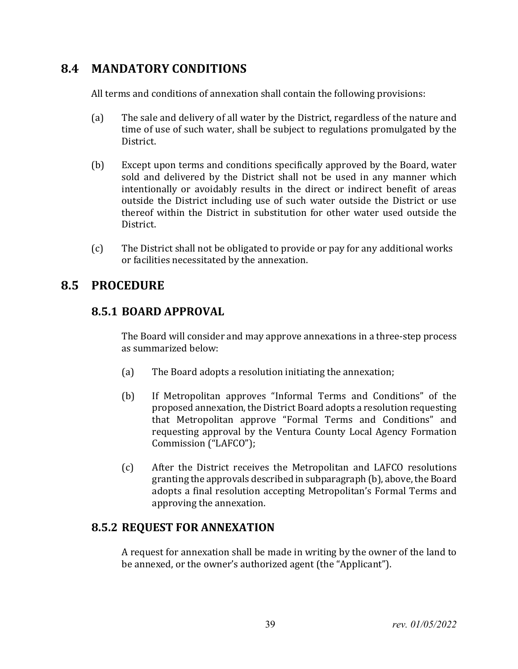## **8.4 MANDATORY CONDITIONS**

All terms and conditions of annexation shall contain the following provisions:

- (a) The sale and delivery of all water by the District, regardless of the nature and time of use of such water, shall be subject to regulations promulgated by the District.
- (b) Except upon terms and conditions specifically approved by the Board, water sold and delivered by the District shall not be used in any manner which intentionally or avoidably results in the direct or indirect benefit of areas outside the District including use of such water outside the District or use thereof within the District in substitution for other water used outside the District.
- (c) The District shall not be obligated to provide or pay for any additional works or facilities necessitated by the annexation.

## **8.5 PROCEDURE**

### **8.5.1 BOARD APPROVAL**

The Board will consider and may approve annexations in a three-step process as summarized below:

- (a) The Board adopts a resolution initiating the annexation;
- (b) If Metropolitan approves "Informal Terms and Conditions" of the proposed annexation, the District Board adopts a resolution requesting that Metropolitan approve "Formal Terms and Conditions" and requesting approval by the Ventura County Local Agency Formation Commission ("LAFCO");
- (c) After the District receives the Metropolitan and LAFCO resolutions granting the approvals described in subparagraph (b), above, the Board adopts a final resolution accepting Metropolitan's Formal Terms and approving the annexation.

### **8.5.2 REQUEST FOR ANNEXATION**

A request for annexation shall be made in writing by the owner of the land to be annexed, or the owner's authorized agent (the "Applicant").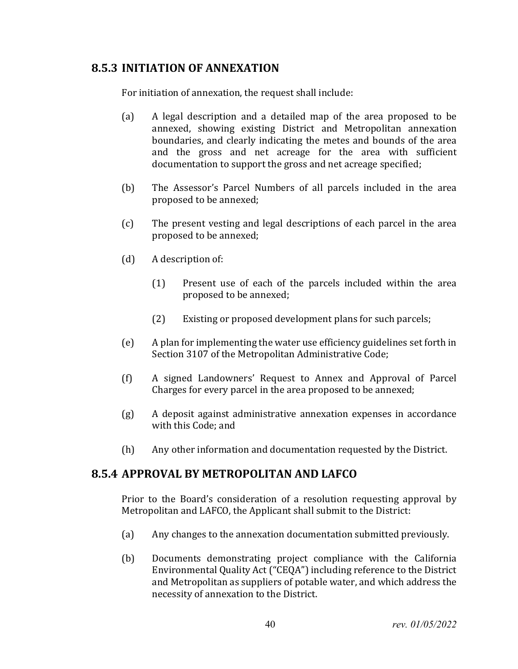#### **8.5.3 INITIATION OF ANNEXATION**

For initiation of annexation, the request shall include:

- (a) A legal description and a detailed map of the area proposed to be annexed, showing existing District and Metropolitan annexation boundaries, and clearly indicating the metes and bounds of the area and the gross and net acreage for the area with sufficient documentation to support the gross and net acreage specified;
- (b) The Assessor's Parcel Numbers of all parcels included in the area proposed to be annexed;
- (c) The present vesting and legal descriptions of each parcel in the area proposed to be annexed;
- (d) A description of:
	- (1) Present use of each of the parcels included within the area proposed to be annexed;
	- (2) Existing or proposed development plans for such parcels;
- (e) A plan for implementing the water use efficiency guidelines set forth in Section 3107 of the Metropolitan Administrative Code;
- (f) A signed Landowners' Request to Annex and Approval of Parcel Charges for every parcel in the area proposed to be annexed;
- (g) A deposit against administrative annexation expenses in accordance with this Code; and
- (h) Any other information and documentation requested by the District.

#### **8.5.4 APPROVAL BY METROPOLITAN AND LAFCO**

Prior to the Board's consideration of a resolution requesting approval by Metropolitan and LAFCO, the Applicant shall submit to the District:

- (a) Any changes to the annexation documentation submitted previously.
- (b) Documents demonstrating project compliance with the California Environmental Quality Act ("CEQA") including reference to the District and Metropolitan as suppliers of potable water, and which address the necessity of annexation to the District.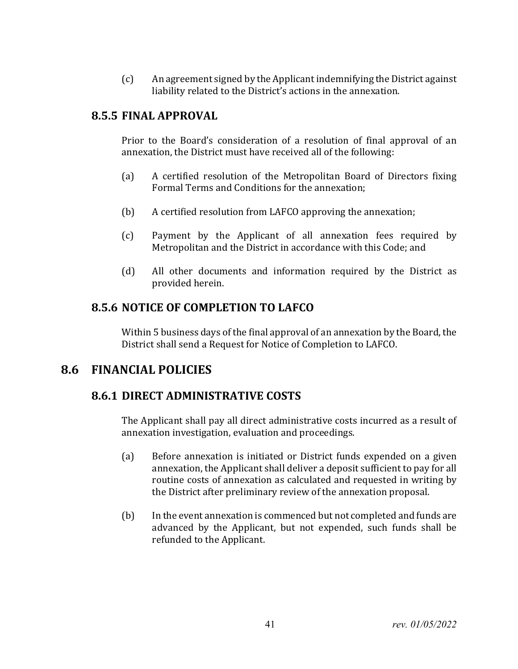(c) An agreement signed by the Applicant indemnifying the District against liability related to the District's actions in the annexation.

#### **8.5.5 FINAL APPROVAL**

Prior to the Board's consideration of a resolution of final approval of an annexation, the District must have received all of the following:

- (a) A certified resolution of the Metropolitan Board of Directors fixing Formal Terms and Conditions for the annexation;
- (b) A certified resolution from LAFCO approving the annexation;
- (c) Payment by the Applicant of all annexation fees required by Metropolitan and the District in accordance with this Code; and
- (d) All other documents and information required by the District as provided herein.

### **8.5.6 NOTICE OF COMPLETION TO LAFCO**

Within 5 business days of the final approval of an annexation by the Board, the District shall send a Request for Notice of Completion to LAFCO.

### **8.6 FINANCIAL POLICIES**

### **8.6.1 DIRECT ADMINISTRATIVE COSTS**

The Applicant shall pay all direct administrative costs incurred as a result of annexation investigation, evaluation and proceedings.

- (a) Before annexation is initiated or District funds expended on a given annexation, the Applicant shall deliver a deposit sufficient to pay for all routine costs of annexation as calculated and requested in writing by the District after preliminary review of the annexation proposal.
- (b) In the event annexation is commenced but not completed and funds are advanced by the Applicant, but not expended, such funds shall be refunded to the Applicant.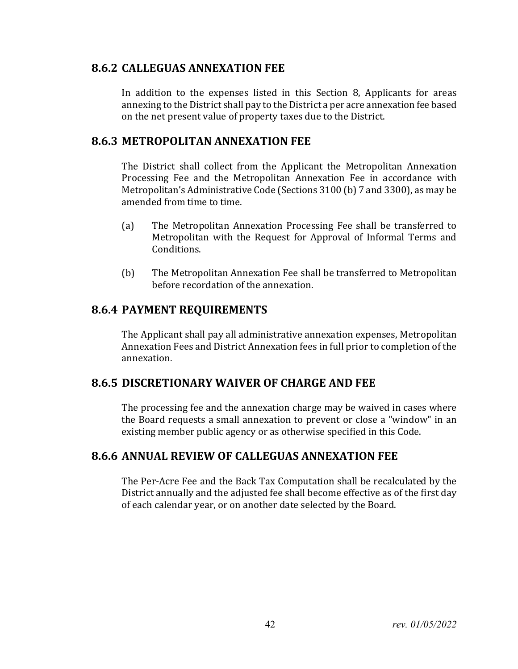### **8.6.2 CALLEGUAS ANNEXATION FEE**

In addition to the expenses listed in this Section 8, Applicants for areas annexing to the District shall pay to the District a per acre annexation fee based on the net present value of property taxes due to the District.

#### **8.6.3 METROPOLITAN ANNEXATION FEE**

The District shall collect from the Applicant the Metropolitan Annexation Processing Fee and the Metropolitan Annexation Fee in accordance with Metropolitan's Administrative Code (Sections 3100 (b) 7 and 3300), as may be amended from time to time.

- (a) The Metropolitan Annexation Processing Fee shall be transferred to Metropolitan with the Request for Approval of Informal Terms and Conditions.
- (b) The Metropolitan Annexation Fee shall be transferred to Metropolitan before recordation of the annexation.

#### **8.6.4 PAYMENT REQUIREMENTS**

The Applicant shall pay all administrative annexation expenses, Metropolitan Annexation Fees and District Annexation fees in full prior to completion of the annexation.

### **8.6.5 DISCRETIONARY WAIVER OF CHARGE AND FEE**

The processing fee and the annexation charge may be waived in cases where the Board requests a small annexation to prevent or close a "window" in an existing member public agency or as otherwise specified in this Code.

### **8.6.6 ANNUAL REVIEW OF CALLEGUAS ANNEXATION FEE**

The Per-Acre Fee and the Back Tax Computation shall be recalculated by the District annually and the adjusted fee shall become effective as of the first day of each calendar year, or on another date selected by the Board.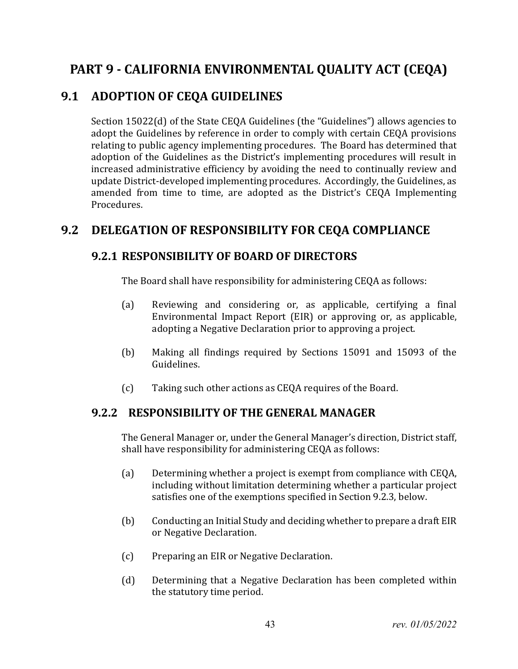# **PART 9 - CALIFORNIA ENVIRONMENTAL QUALITY ACT (CEQA)**

## **9.1 ADOPTION OF CEQA GUIDELINES**

Section 15022(d) of the State CEQA Guidelines (the "Guidelines") allows agencies to adopt the Guidelines by reference in order to comply with certain CEQA provisions relating to public agency implementing procedures. The Board has determined that adoption of the Guidelines as the District's implementing procedures will result in increased administrative efficiency by avoiding the need to continually review and update District-developed implementing procedures. Accordingly, the Guidelines, as amended from time to time, are adopted as the District's CEQA Implementing Procedures.

### **9.2 DELEGATION OF RESPONSIBILITY FOR CEQA COMPLIANCE**

### **9.2.1 RESPONSIBILITY OF BOARD OF DIRECTORS**

The Board shall have responsibility for administering CEQA as follows:

- (a) Reviewing and considering or, as applicable, certifying a final Environmental Impact Report (EIR) or approving or, as applicable, adopting a Negative Declaration prior to approving a project.
- (b) Making all findings required by Sections 15091 and 15093 of the Guidelines.
- (c) Taking such other actions as CEQA requires of the Board.

### **9.2.2 RESPONSIBILITY OF THE GENERAL MANAGER**

The General Manager or, under the General Manager's direction, District staff, shall have responsibility for administering CEQA as follows:

- (a) Determining whether a project is exempt from compliance with CEQA, including without limitation determining whether a particular project satisfies one of the exemptions specified in Section 9.2.3, below.
- (b) Conducting an Initial Study and deciding whether to prepare a draft EIR or Negative Declaration.
- (c) Preparing an EIR or Negative Declaration.
- (d) Determining that a Negative Declaration has been completed within the statutory time period.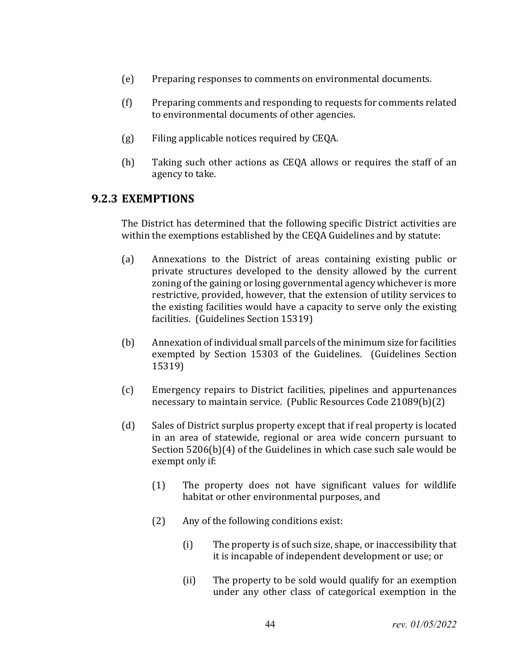- (e) Preparing responses to comments on environmental documents.
- (f) Preparing comments and responding to requests for comments related to environmental documents of other agencies.
- (g) Filing applicable notices required by CEQA.
- (h) Taking such other actions as CEQA allows or requires the staff of an agency to take.

#### **9.2.3 EXEMPTIONS**

The District has determined that the following specific District activities are within the exemptions established by the CEQA Guidelines and by statute:

- (a) Annexations to the District of areas containing existing public or private structures developed to the density allowed by the current zoning of the gaining or losing governmental agency whichever is more restrictive, provided, however, that the extension of utility services to the existing facilities would have a capacity to serve only the existing facilities. (Guidelines Section 15319)
- (b) Annexation of individual small parcels of the minimum size for facilities exempted by Section 15303 of the Guidelines. (Guidelines Section 15319)
- (c) Emergency repairs to District facilities, pipelines and appurtenances necessary to maintain service. (Public Resources Code 21089(b)(2)
- (d) Sales of District surplus property except that if real property is located in an area of statewide, regional or area wide concern pursuant to Section 5206(b)(4) of the Guidelines in which case such sale would be exempt only if:
	- (1) The property does not have significant values for wildlife habitat or other environmental purposes, and
	- (2) Any of the following conditions exist:
		- (i) The property is of such size, shape, or inaccessibility that it is incapable of independent development or use; or
		- (ii) The property to be sold would qualify for an exemption under any other class of categorical exemption in the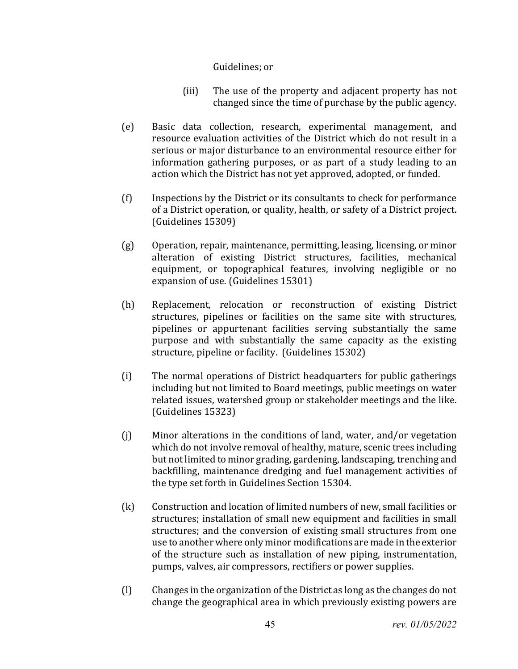#### Guidelines; or

- (iii) The use of the property and adjacent property has not changed since the time of purchase by the public agency.
- (e) Basic data collection, research, experimental management, and resource evaluation activities of the District which do not result in a serious or major disturbance to an environmental resource either for information gathering purposes, or as part of a study leading to an action which the District has not yet approved, adopted, or funded.
- (f) Inspections by the District or its consultants to check for performance of a District operation, or quality, health, or safety of a District project. (Guidelines 15309)
- (g) Operation, repair, maintenance, permitting, leasing, licensing, or minor alteration of existing District structures, facilities, mechanical equipment, or topographical features, involving negligible or no expansion of use. (Guidelines 15301)
- (h) Replacement, relocation or reconstruction of existing District structures, pipelines or facilities on the same site with structures, pipelines or appurtenant facilities serving substantially the same purpose and with substantially the same capacity as the existing structure, pipeline or facility. (Guidelines 15302)
- (i) The normal operations of District headquarters for public gatherings including but not limited to Board meetings, public meetings on water related issues, watershed group or stakeholder meetings and the like. (Guidelines 15323)
- (j) Minor alterations in the conditions of land, water, and/or vegetation which do not involve removal of healthy, mature, scenic trees including but not limited to minor grading, gardening, landscaping, trenching and backfilling, maintenance dredging and fuel management activities of the type set forth in Guidelines Section 15304.
- (k) Construction and location of limited numbers of new, small facilities or structures; installation of small new equipment and facilities in small structures; and the conversion of existing small structures from one use to another where only minor modifications are made in the exterior of the structure such as installation of new piping, instrumentation, pumps, valves, air compressors, rectifiers or power supplies.
- (l) Changes in the organization of the District as long as the changes do not change the geographical area in which previously existing powers are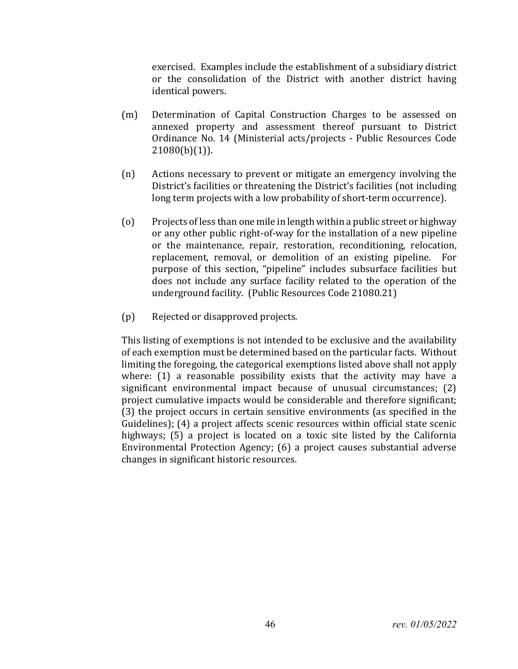exercised. Examples include the establishment of a subsidiary district or the consolidation of the District with another district having identical powers.

- (m) Determination of Capital Construction Charges to be assessed on annexed property and assessment thereof pursuant to District Ordinance No. 14 (Ministerial acts/projects - Public Resources Code  $21080(b)(1)$ ).
- (n) Actions necessary to prevent or mitigate an emergency involving the District's facilities or threatening the District's facilities (not including long term projects with a low probability of short-term occurrence).
- (o) Projects of less than one mile in length within a public street or highway or any other public right-of-way for the installation of a new pipeline or the maintenance, repair, restoration, reconditioning, relocation, replacement, removal, or demolition of an existing pipeline. For purpose of this section, "pipeline" includes subsurface facilities but does not include any surface facility related to the operation of the underground facility. (Public Resources Code 21080.21)
- (p) Rejected or disapproved projects.

This listing of exemptions is not intended to be exclusive and the availability of each exemption must be determined based on the particular facts. Without limiting the foregoing, the categorical exemptions listed above shall not apply where: (1) a reasonable possibility exists that the activity may have a significant environmental impact because of unusual circumstances; (2) project cumulative impacts would be considerable and therefore significant; (3) the project occurs in certain sensitive environments (as specified in the Guidelines); (4) a project affects scenic resources within official state scenic highways; (5) a project is located on a toxic site listed by the California Environmental Protection Agency; (6) a project causes substantial adverse changes in significant historic resources.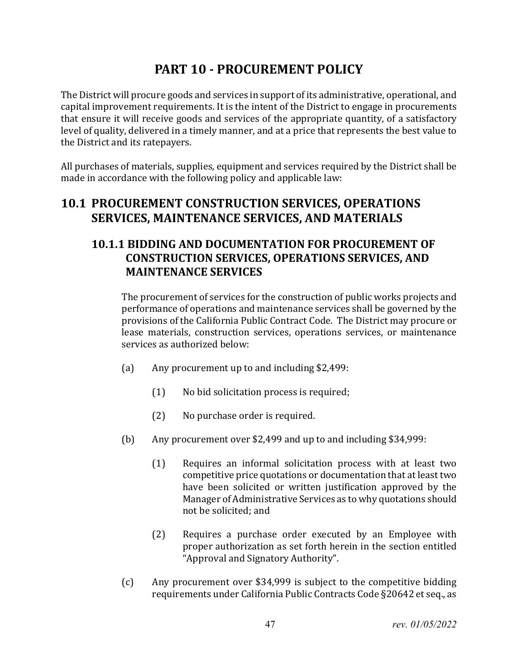# **PART 10 - PROCUREMENT POLICY**

The District will procure goods and services in support of its administrative, operational, and capital improvement requirements. It is the intent of the District to engage in procurements that ensure it will receive goods and services of the appropriate quantity, of a satisfactory level of quality, delivered in a timely manner, and at a price that represents the best value to the District and its ratepayers.

All purchases of materials, supplies, equipment and services required by the District shall be made in accordance with the following policy and applicable law:

## **10.1 PROCUREMENT CONSTRUCTION SERVICES, OPERATIONS SERVICES, MAINTENANCE SERVICES, AND MATERIALS**

## **10.1.1 BIDDING AND DOCUMENTATION FOR PROCUREMENT OF CONSTRUCTION SERVICES, OPERATIONS SERVICES, AND MAINTENANCE SERVICES**

The procurement of services for the construction of public works projects and performance of operations and maintenance services shall be governed by the provisions of the California Public Contract Code. The District may procure or lease materials, construction services, operations services, or maintenance services as authorized below:

- (a) Any procurement up to and including \$2,499:
	- (1) No bid solicitation process is required;
	- (2) No purchase order is required.
- (b) Any procurement over \$2,499 and up to and including \$34,999:
	- (1) Requires an informal solicitation process with at least two competitive price quotations or documentation that at least two have been solicited or written justification approved by the Manager of Administrative Services as to why quotations should not be solicited; and
	- (2) Requires a purchase order executed by an Employee with proper authorization as set forth herein in the section entitled "Approval and Signatory Authority".
- (c) Any procurement over \$34,999 is subject to the competitive bidding requirements under California Public Contracts Code §20642 et seq., as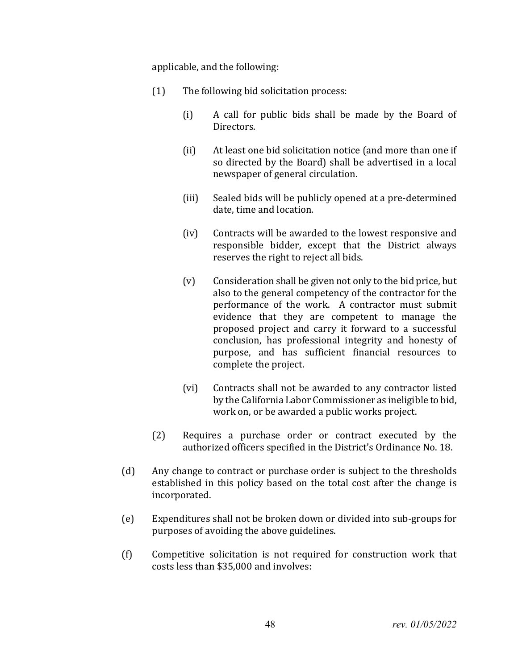applicable, and the following:

- (1) The following bid solicitation process:
	- (i) A call for public bids shall be made by the Board of Directors.
	- (ii) At least one bid solicitation notice (and more than one if so directed by the Board) shall be advertised in a local newspaper of general circulation.
	- (iii) Sealed bids will be publicly opened at a pre-determined date, time and location.
	- (iv) Contracts will be awarded to the lowest responsive and responsible bidder, except that the District always reserves the right to reject all bids.
	- (v) Consideration shall be given not only to the bid price, but also to the general competency of the contractor for the performance of the work. A contractor must submit evidence that they are competent to manage the proposed project and carry it forward to a successful conclusion, has professional integrity and honesty of purpose, and has sufficient financial resources to complete the project.
	- (vi) Contracts shall not be awarded to any contractor listed by the California Labor Commissioner as ineligible to bid, work on, or be awarded a public works project.
- (2) Requires a purchase order or contract executed by the authorized officers specified in the District's Ordinance No. 18.
- (d) Any change to contract or purchase order is subject to the thresholds established in this policy based on the total cost after the change is incorporated.
- (e) Expenditures shall not be broken down or divided into sub-groups for purposes of avoiding the above guidelines.
- (f) Competitive solicitation is not required for construction work that costs less than \$35,000 and involves: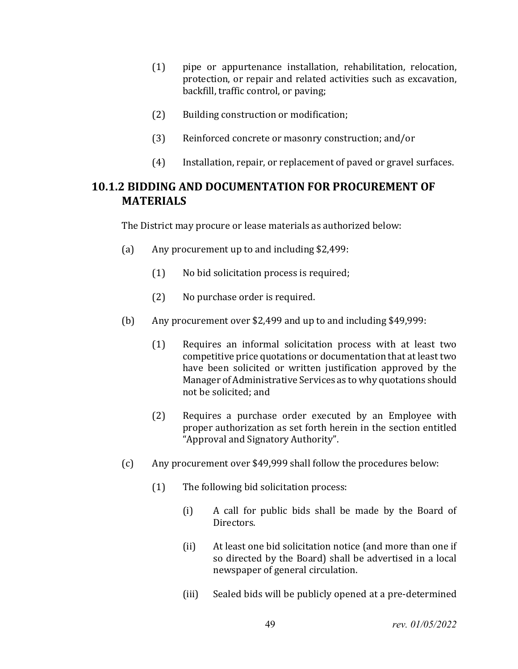- (1) pipe or appurtenance installation, rehabilitation, relocation, protection, or repair and related activities such as excavation, backfill, traffic control, or paving;
- (2) Building construction or modification;
- (3) Reinforced concrete or masonry construction; and/or
- (4) Installation, repair, or replacement of paved or gravel surfaces.

### **10.1.2 BIDDING AND DOCUMENTATION FOR PROCUREMENT OF MATERIALS**

The District may procure or lease materials as authorized below:

- (a) Any procurement up to and including \$2,499:
	- (1) No bid solicitation process is required;
	- (2) No purchase order is required.
- (b) Any procurement over \$2,499 and up to and including \$49,999:
	- (1) Requires an informal solicitation process with at least two competitive price quotations or documentation that at least two have been solicited or written justification approved by the Manager of Administrative Services as to why quotations should not be solicited; and
	- (2) Requires a purchase order executed by an Employee with proper authorization as set forth herein in the section entitled "Approval and Signatory Authority".
- (c) Any procurement over \$49,999 shall follow the procedures below:
	- (1) The following bid solicitation process:
		- (i) A call for public bids shall be made by the Board of Directors.
		- (ii) At least one bid solicitation notice (and more than one if so directed by the Board) shall be advertised in a local newspaper of general circulation.
		- (iii) Sealed bids will be publicly opened at a pre-determined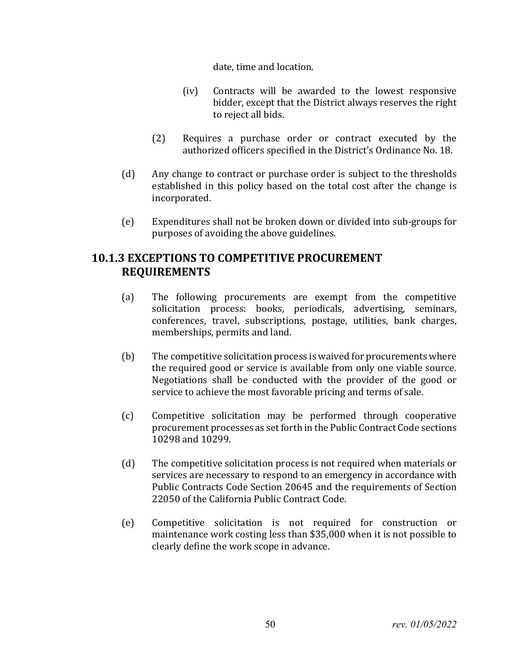date, time and location.

- (iv) Contracts will be awarded to the lowest responsive bidder, except that the District always reserves the right to reject all bids.
- (2) Requires a purchase order or contract executed by the authorized officers specified in the District's Ordinance No. 18.
- (d) Any change to contract or purchase order is subject to the thresholds established in this policy based on the total cost after the change is incorporated.
- (e) Expenditures shall not be broken down or divided into sub-groups for purposes of avoiding the above guidelines.

## **10.1.3 EXCEPTIONS TO COMPETITIVE PROCUREMENT REQUIREMENTS**

- (a) The following procurements are exempt from the competitive solicitation process: books, periodicals, advertising, seminars, conferences, travel, subscriptions, postage, utilities, bank charges, memberships, permits and land.
- (b) The competitive solicitation process is waived for procurements where the required good or service is available from only one viable source. Negotiations shall be conducted with the provider of the good or service to achieve the most favorable pricing and terms of sale.
- (c) Competitive solicitation may be performed through cooperative procurement processes as set forth in the Public Contract Code sections 10298 and 10299.
- (d) The competitive solicitation process is not required when materials or services are necessary to respond to an emergency in accordance with Public Contracts Code Section 20645 and the requirements of Section 22050 of the California Public Contract Code.
- (e) Competitive solicitation is not required for construction or maintenance work costing less than \$35,000 when it is not possible to clearly define the work scope in advance.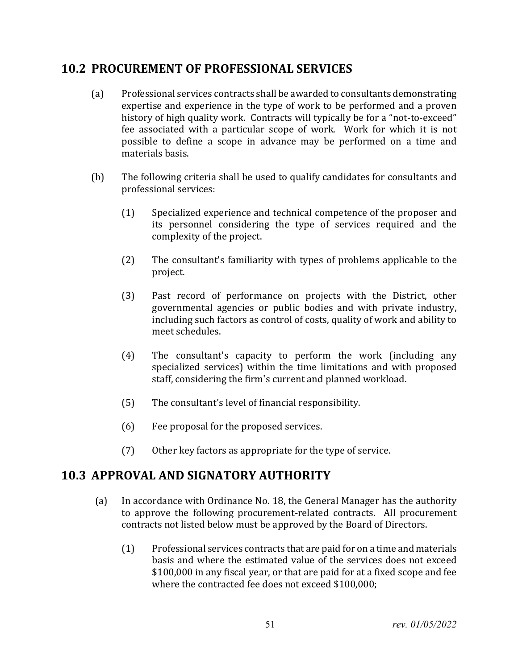## **10.2 PROCUREMENT OF PROFESSIONAL SERVICES**

- (a) Professional services contracts shall be awarded to consultants demonstrating expertise and experience in the type of work to be performed and a proven history of high quality work. Contracts will typically be for a "not-to-exceed" fee associated with a particular scope of work. Work for which it is not possible to define a scope in advance may be performed on a time and materials basis.
- (b) The following criteria shall be used to qualify candidates for consultants and professional services:
	- (1) Specialized experience and technical competence of the proposer and its personnel considering the type of services required and the complexity of the project.
	- (2) The consultant's familiarity with types of problems applicable to the project.
	- (3) Past record of performance on projects with the District, other governmental agencies or public bodies and with private industry, including such factors as control of costs, quality of work and ability to meet schedules.
	- (4) The consultant's capacity to perform the work (including any specialized services) within the time limitations and with proposed staff, considering the firm's current and planned workload.
	- (5) The consultant's level of financial responsibility.
	- (6) Fee proposal for the proposed services.
	- (7) Other key factors as appropriate for the type of service.

## **10.3 APPROVAL AND SIGNATORY AUTHORITY**

- (a) In accordance with Ordinance No. 18, the General Manager has the authority to approve the following procurement-related contracts. All procurement contracts not listed below must be approved by the Board of Directors.
	- (1) Professional services contracts that are paid for on a time and materials basis and where the estimated value of the services does not exceed \$100,000 in any fiscal year, or that are paid for at a fixed scope and fee where the contracted fee does not exceed \$100,000;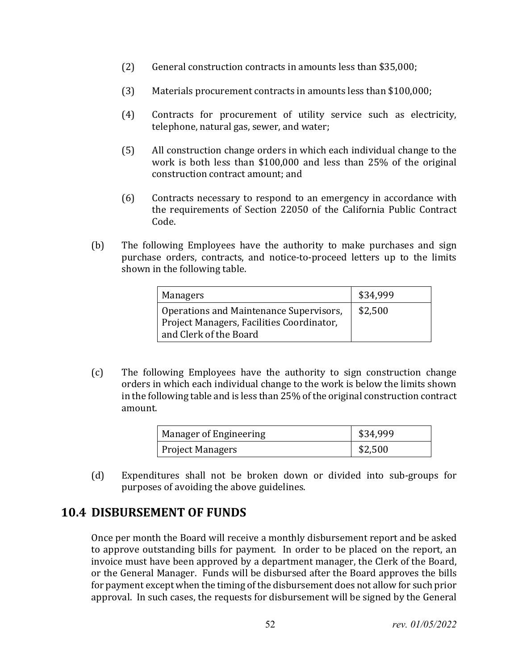- (2) General construction contracts in amounts less than \$35,000;
- (3) Materials procurement contracts in amounts less than \$100,000;
- (4) Contracts for procurement of utility service such as electricity, telephone, natural gas, sewer, and water;
- (5) All construction change orders in which each individual change to the work is both less than \$100,000 and less than 25% of the original construction contract amount; and
- (6) Contracts necessary to respond to an emergency in accordance with the requirements of Section 22050 of the California Public Contract Code.
- (b) The following Employees have the authority to make purchases and sign purchase orders, contracts, and notice-to-proceed letters up to the limits shown in the following table.

| Managers                                                                                                       | \$34,999 |
|----------------------------------------------------------------------------------------------------------------|----------|
| Operations and Maintenance Supervisors,<br>Project Managers, Facilities Coordinator,<br>and Clerk of the Board | \$2,500  |

(c) The following Employees have the authority to sign construction change orders in which each individual change to the work is below the limits shown in the following table and is less than 25% of the original construction contract amount.

| Manager of Engineering  | \$34,999 |
|-------------------------|----------|
| <b>Project Managers</b> | \$2,500  |

(d) Expenditures shall not be broken down or divided into sub-groups for purposes of avoiding the above guidelines.

## **10.4 DISBURSEMENT OF FUNDS**

Once per month the Board will receive a monthly disbursement report and be asked to approve outstanding bills for payment. In order to be placed on the report, an invoice must have been approved by a department manager, the Clerk of the Board, or the General Manager. Funds will be disbursed after the Board approves the bills for payment except when the timing of the disbursement does not allow for such prior approval. In such cases, the requests for disbursement will be signed by the General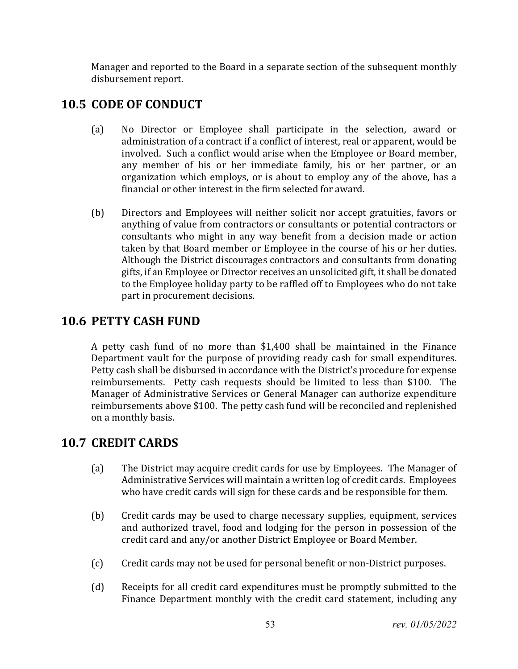Manager and reported to the Board in a separate section of the subsequent monthly disbursement report.

## **10.5 CODE OF CONDUCT**

- (a) No Director or Employee shall participate in the selection, award or administration of a contract if a conflict of interest, real or apparent, would be involved. Such a conflict would arise when the Employee or Board member, any member of his or her immediate family, his or her partner, or an organization which employs, or is about to employ any of the above, has a financial or other interest in the firm selected for award.
- (b) Directors and Employees will neither solicit nor accept gratuities, favors or anything of value from contractors or consultants or potential contractors or consultants who might in any way benefit from a decision made or action taken by that Board member or Employee in the course of his or her duties. Although the District discourages contractors and consultants from donating gifts, if an Employee or Director receives an unsolicited gift, it shall be donated to the Employee holiday party to be raffled off to Employees who do not take part in procurement decisions.

## **10.6 PETTY CASH FUND**

A petty cash fund of no more than \$1,400 shall be maintained in the Finance Department vault for the purpose of providing ready cash for small expenditures. Petty cash shall be disbursed in accordance with the District's procedure for expense reimbursements. Petty cash requests should be limited to less than \$100. The Manager of Administrative Services or General Manager can authorize expenditure reimbursements above \$100. The petty cash fund will be reconciled and replenished on a monthly basis.

## **10.7 CREDIT CARDS**

- (a) The District may acquire credit cards for use by Employees. The Manager of Administrative Services will maintain a written log of credit cards. Employees who have credit cards will sign for these cards and be responsible for them.
- (b) Credit cards may be used to charge necessary supplies, equipment, services and authorized travel, food and lodging for the person in possession of the credit card and any/or another District Employee or Board Member.
- (c) Credit cards may not be used for personal benefit or non-District purposes.
- (d) Receipts for all credit card expenditures must be promptly submitted to the Finance Department monthly with the credit card statement, including any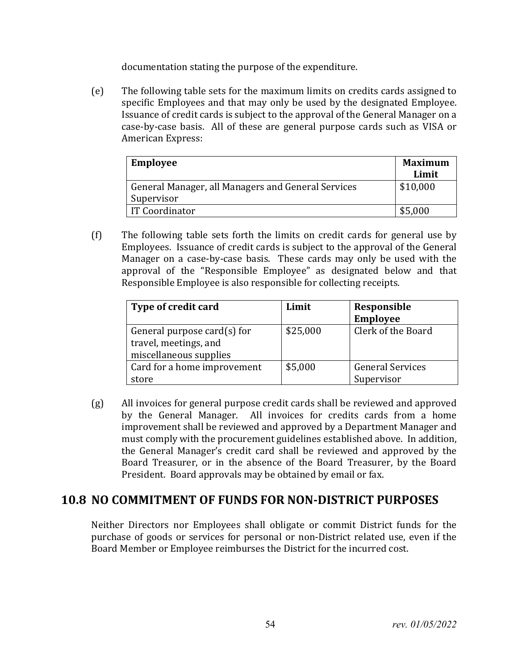documentation stating the purpose of the expenditure.

(e) The following table sets for the maximum limits on credits cards assigned to specific Employees and that may only be used by the designated Employee. Issuance of credit cards is subject to the approval of the General Manager on a case-by-case basis. All of these are general purpose cards such as VISA or American Express:

| <b>Employee</b>                                    | <b>Maximum</b> |
|----------------------------------------------------|----------------|
|                                                    | Limit          |
| General Manager, all Managers and General Services | \$10,000       |
| Supervisor                                         |                |
| <b>IT Coordinator</b>                              | \$5,000        |

(f) The following table sets forth the limits on credit cards for general use by Employees. Issuance of credit cards is subject to the approval of the General Manager on a case-by-case basis. These cards may only be used with the approval of the "Responsible Employee" as designated below and that Responsible Employee is also responsible for collecting receipts.

| Type of credit card            | Limit    | Responsible             |
|--------------------------------|----------|-------------------------|
|                                |          | Employee                |
| General purpose card $(s)$ for | \$25,000 | Clerk of the Board      |
| travel, meetings, and          |          |                         |
| miscellaneous supplies         |          |                         |
| Card for a home improvement    | \$5,000  | <b>General Services</b> |
| store                          |          | Supervisor              |

(g) All invoices for general purpose credit cards shall be reviewed and approved by the General Manager. All invoices for credits cards from a home improvement shall be reviewed and approved by a Department Manager and must comply with the procurement guidelines established above. In addition, the General Manager's credit card shall be reviewed and approved by the Board Treasurer, or in the absence of the Board Treasurer, by the Board President. Board approvals may be obtained by email or fax.

### **10.8 NO COMMITMENT OF FUNDS FOR NON-DISTRICT PURPOSES**

Neither Directors nor Employees shall obligate or commit District funds for the purchase of goods or services for personal or non-District related use, even if the Board Member or Employee reimburses the District for the incurred cost.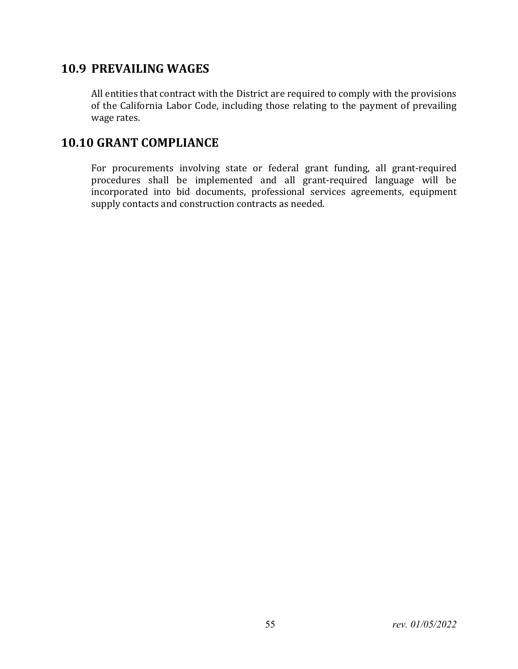## **10.9 PREVAILING WAGES**

All entities that contract with the District are required to comply with the provisions of the California Labor Code, including those relating to the payment of prevailing wage rates.

## **10.10 GRANT COMPLIANCE**

For procurements involving state or federal grant funding, all grant-required procedures shall be implemented and all grant-required language will be incorporated into bid documents, professional services agreements, equipment supply contacts and construction contracts as needed.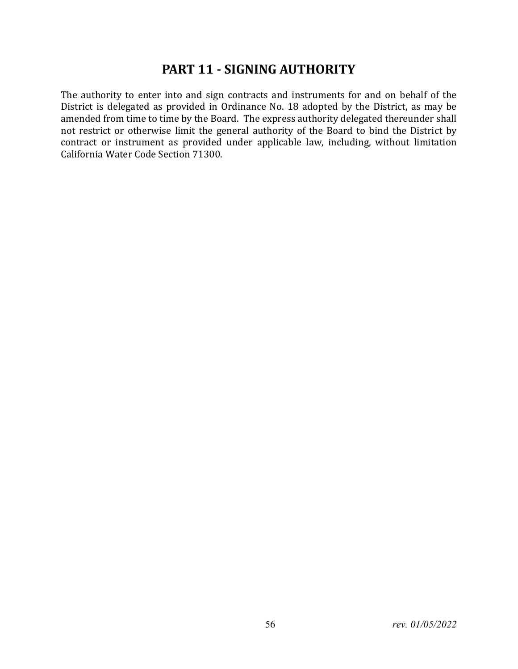# **PART 11 - SIGNING AUTHORITY**

The authority to enter into and sign contracts and instruments for and on behalf of the District is delegated as provided in Ordinance No. 18 adopted by the District, as may be amended from time to time by the Board. The express authority delegated thereunder shall not restrict or otherwise limit the general authority of the Board to bind the District by contract or instrument as provided under applicable law, including, without limitation California Water Code Section 71300.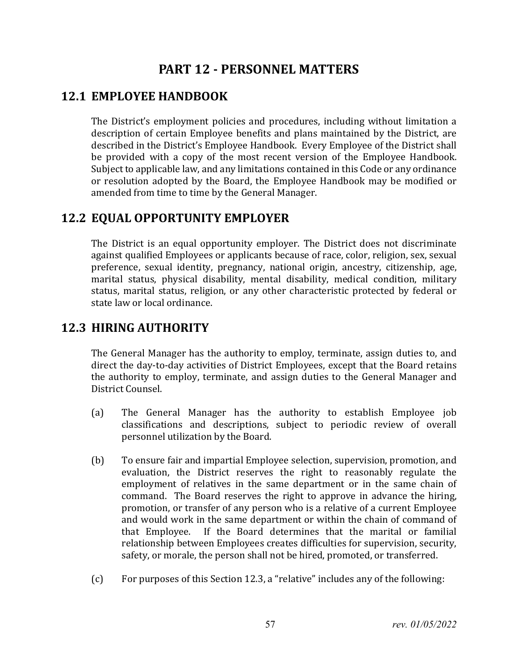# **PART 12 - PERSONNEL MATTERS**

## **12.1 EMPLOYEE HANDBOOK**

The District's employment policies and procedures, including without limitation a description of certain Employee benefits and plans maintained by the District, are described in the District's Employee Handbook. Every Employee of the District shall be provided with a copy of the most recent version of the Employee Handbook. Subject to applicable law, and any limitations contained in this Code or any ordinance or resolution adopted by the Board, the Employee Handbook may be modified or amended from time to time by the General Manager.

## **12.2 EQUAL OPPORTUNITY EMPLOYER**

The District is an equal opportunity employer. The District does not discriminate against qualified Employees or applicants because of race, color, religion, sex, sexual preference, sexual identity, pregnancy, national origin, ancestry, citizenship, age, marital status, physical disability, mental disability, medical condition, military status, marital status, religion, or any other characteristic protected by federal or state law or local ordinance.

## **12.3 HIRING AUTHORITY**

The General Manager has the authority to employ, terminate, assign duties to, and direct the day-to-day activities of District Employees, except that the Board retains the authority to employ, terminate, and assign duties to the General Manager and District Counsel.

- (a) The General Manager has the authority to establish Employee job classifications and descriptions, subject to periodic review of overall personnel utilization by the Board.
- (b) To ensure fair and impartial Employee selection, supervision, promotion, and evaluation, the District reserves the right to reasonably regulate the employment of relatives in the same department or in the same chain of command. The Board reserves the right to approve in advance the hiring, promotion, or transfer of any person who is a relative of a current Employee and would work in the same department or within the chain of command of that Employee. If the Board determines that the marital or familial If the Board determines that the marital or familial relationship between Employees creates difficulties for supervision, security, safety, or morale, the person shall not be hired, promoted, or transferred.
- (c) For purposes of this Section 12.3, a "relative" includes any of the following: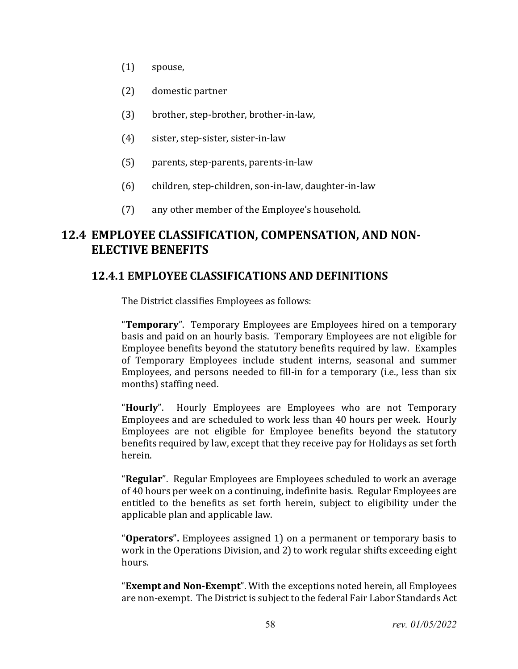- (1) spouse,
- (2) domestic partner
- (3) brother, step-brother, brother-in-law,
- (4) sister, step-sister, sister-in-law
- (5) parents, step-parents, parents-in-law
- (6) children, step-children, son-in-law, daughter-in-law
- (7) any other member of the Employee's household.

## **12.4 EMPLOYEE CLASSIFICATION, COMPENSATION, AND NON-ELECTIVE BENEFITS**

### **12.4.1 EMPLOYEE CLASSIFICATIONS AND DEFINITIONS**

The District classifies Employees as follows:

"**Temporary**". Temporary Employees are Employees hired on a temporary basis and paid on an hourly basis. Temporary Employees are not eligible for Employee benefits beyond the statutory benefits required by law. Examples of Temporary Employees include student interns, seasonal and summer Employees, and persons needed to fill-in for a temporary (i.e., less than six months) staffing need.

"**Hourly**". Hourly Employees are Employees who are not Temporary Employees and are scheduled to work less than 40 hours per week. Hourly Employees are not eligible for Employee benefits beyond the statutory benefits required by law, except that they receive pay for Holidays as set forth herein.

"**Regular**". Regular Employees are Employees scheduled to work an average of 40 hours per week on a continuing, indefinite basis. Regular Employees are entitled to the benefits as set forth herein, subject to eligibility under the applicable plan and applicable law.

"**Operators**"**.** Employees assigned 1) on a permanent or temporary basis to work in the Operations Division, and 2) to work regular shifts exceeding eight hours.

"**Exempt and Non-Exempt**". With the exceptions noted herein, all Employees are non-exempt. The District is subject to the federal Fair Labor Standards Act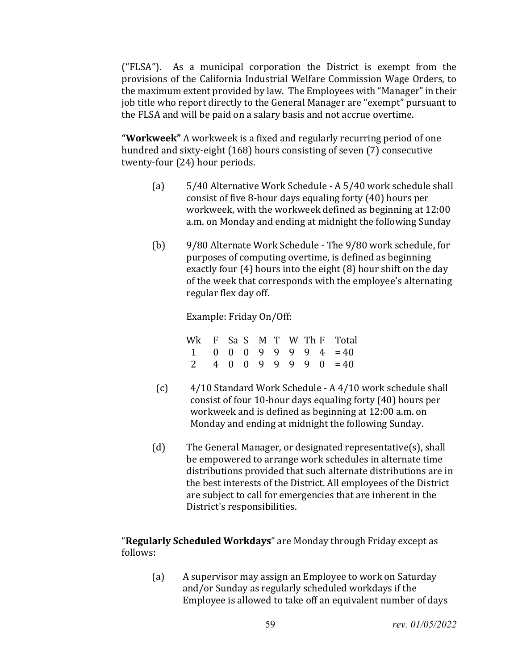("FLSA"). As a municipal corporation the District is exempt from the provisions of the California Industrial Welfare Commission Wage Orders, to the maximum extent provided by law. The Employees with "Manager" in their job title who report directly to the General Manager are "exempt" pursuant to the FLSA and will be paid on a salary basis and not accrue overtime.

**"Workweek"** A workweek is a fixed and regularly recurring period of one hundred and sixty-eight (168) hours consisting of seven (7) consecutive twenty-four (24) hour periods.

- (a) 5/40 Alternative Work Schedule A 5/40 work schedule shall consist of five 8-hour days equaling forty (40) hours per workweek, with the workweek defined as beginning at 12:00 a.m. on Monday and ending at midnight the following Sunday
- (b) 9/80 Alternate Work Schedule The 9/80 work schedule, for purposes of computing overtime, is defined as beginning exactly four (4) hours into the eight (8) hour shift on the day of the week that corresponds with the employee's alternating regular flex day off.

Example: Friday On/Off:

Wk F Sa S M T W Th F Total<br>1 0 0 0 9 9 9 9 4 = 40  $1 \t0 \t0 \t0 \t9 \t9 \t9 \t9 \t4 = 40$ <br>2 4 0 0 9 9 9 9 0 = 40  $4 \t0 \t0 \t9 \t9 \t9 \t9 \t0 = 40$ 

- (c) 4/10 Standard Work Schedule A 4/10 work schedule shall consist of four 10-hour days equaling forty (40) hours per workweek and is defined as beginning at 12:00 a.m. on Monday and ending at midnight the following Sunday.
- (d) The General Manager, or designated representative(s), shall be empowered to arrange work schedules in alternate time distributions provided that such alternate distributions are in the best interests of the District. All employees of the District are subject to call for emergencies that are inherent in the District's responsibilities.

"**Regularly Scheduled Workdays**" are Monday through Friday except as follows:

(a) A supervisor may assign an Employee to work on Saturday and/or Sunday as regularly scheduled workdays if the Employee is allowed to take off an equivalent number of days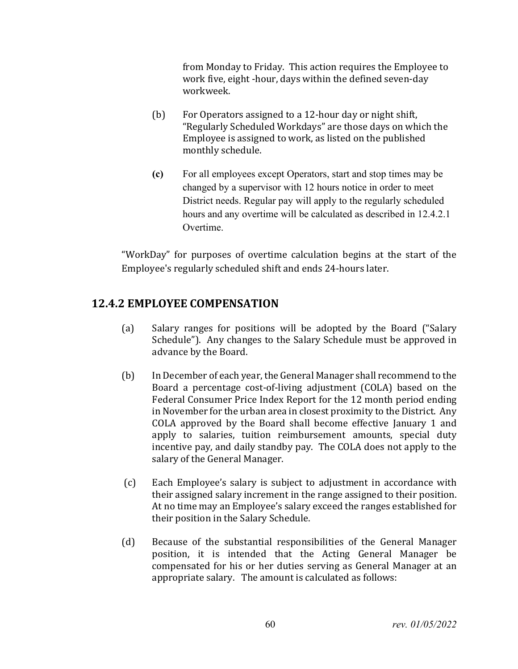from Monday to Friday. This action requires the Employee to work five, eight -hour, days within the defined seven-day workweek.

- (b) For Operators assigned to a 12-hour day or night shift, "Regularly Scheduled Workdays" are those days on which the Employee is assigned to work, as listed on the published monthly schedule.
- **(c)** For all employees except Operators, start and stop times may be changed by a supervisor with 12 hours notice in order to meet District needs. Regular pay will apply to the regularly scheduled hours and any overtime will be calculated as described in 12.4.2.1 Overtime.

"WorkDay" for purposes of overtime calculation begins at the start of the Employee's regularly scheduled shift and ends 24-hours later.

### **12.4.2 EMPLOYEE COMPENSATION**

- (a) Salary ranges for positions will be adopted by the Board ("Salary Schedule"). Any changes to the Salary Schedule must be approved in advance by the Board.
- (b) In December of each year, the General Manager shall recommend to the Board a percentage cost-of-living adjustment (COLA) based on the Federal Consumer Price Index Report for the 12 month period ending in November for the urban area in closest proximity to the District. Any COLA approved by the Board shall become effective January 1 and apply to salaries, tuition reimbursement amounts, special duty incentive pay, and daily standby pay. The COLA does not apply to the salary of the General Manager.
- (c) Each Employee's salary is subject to adjustment in accordance with their assigned salary increment in the range assigned to their position. At no time may an Employee's salary exceed the ranges established for their position in the Salary Schedule.
- (d) Because of the substantial responsibilities of the General Manager position, it is intended that the Acting General Manager be compensated for his or her duties serving as General Manager at an appropriate salary. The amount is calculated as follows: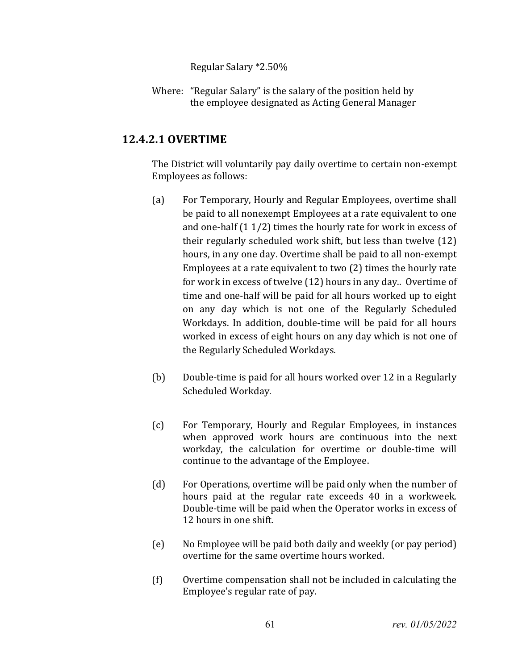Regular Salary \*2.50%

Where: "Regular Salary" is the salary of the position held by the employee designated as Acting General Manager

### **12.4.2.1 OVERTIME**

The District will voluntarily pay daily overtime to certain non-exempt Employees as follows:

- (a) For Temporary, Hourly and Regular Employees, overtime shall be paid to all nonexempt Employees at a rate equivalent to one and one-half (1 1/2) times the hourly rate for work in excess of their regularly scheduled work shift, but less than twelve (12) hours, in any one day. Overtime shall be paid to all non-exempt Employees at a rate equivalent to two (2) times the hourly rate for work in excess of twelve (12) hours in any day.. Overtime of time and one-half will be paid for all hours worked up to eight on any day which is not one of the Regularly Scheduled Workdays. In addition, double-time will be paid for all hours worked in excess of eight hours on any day which is not one of the Regularly Scheduled Workdays.
- (b) Double-time is paid for all hours worked over 12 in a Regularly Scheduled Workday.
- (c) For Temporary, Hourly and Regular Employees, in instances when approved work hours are continuous into the next workday, the calculation for overtime or double-time will continue to the advantage of the Employee.
- (d) For Operations, overtime will be paid only when the number of hours paid at the regular rate exceeds 40 in a workweek. Double-time will be paid when the Operator works in excess of 12 hours in one shift.
- (e) No Employee will be paid both daily and weekly (or pay period) overtime for the same overtime hours worked.
- (f) Overtime compensation shall not be included in calculating the Employee's regular rate of pay.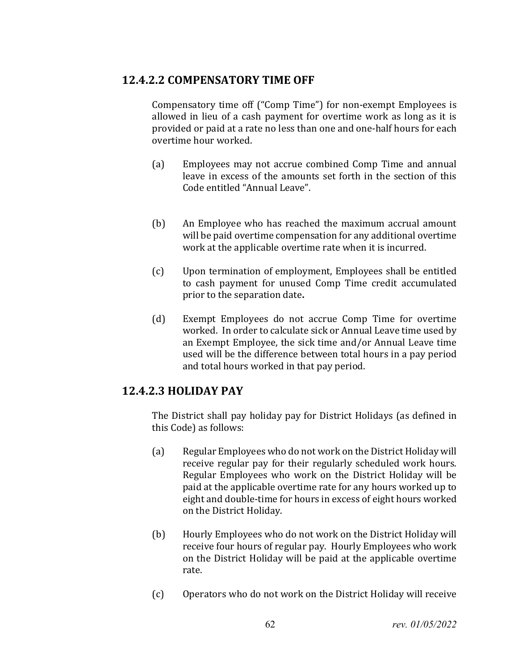### **12.4.2.2 COMPENSATORY TIME OFF**

Compensatory time off ("Comp Time") for non-exempt Employees is allowed in lieu of a cash payment for overtime work as long as it is provided or paid at a rate no less than one and one-half hours for each overtime hour worked.

- (a) Employees may not accrue combined Comp Time and annual leave in excess of the amounts set forth in the section of this Code entitled "Annual Leave".
- (b) An Employee who has reached the maximum accrual amount will be paid overtime compensation for any additional overtime work at the applicable overtime rate when it is incurred.
- (c) Upon termination of employment, Employees shall be entitled to cash payment for unused Comp Time credit accumulated prior to the separation date**.**
- (d) Exempt Employees do not accrue Comp Time for overtime worked. In order to calculate sick or Annual Leave time used by an Exempt Employee, the sick time and/or Annual Leave time used will be the difference between total hours in a pay period and total hours worked in that pay period.

### **12.4.2.3 HOLIDAY PAY**

The District shall pay holiday pay for District Holidays (as defined in this Code) as follows:

- (a) Regular Employees who do not work on the District Holiday will receive regular pay for their regularly scheduled work hours. Regular Employees who work on the District Holiday will be paid at the applicable overtime rate for any hours worked up to eight and double-time for hours in excess of eight hours worked on the District Holiday.
- (b) Hourly Employees who do not work on the District Holiday will receive four hours of regular pay. Hourly Employees who work on the District Holiday will be paid at the applicable overtime rate.
- (c) Operators who do not work on the District Holiday will receive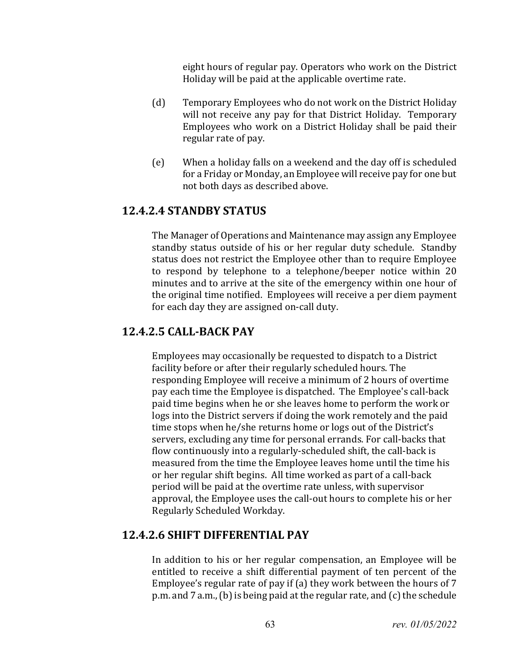eight hours of regular pay. Operators who work on the District Holiday will be paid at the applicable overtime rate.

- (d) Temporary Employees who do not work on the District Holiday will not receive any pay for that District Holiday. Temporary Employees who work on a District Holiday shall be paid their regular rate of pay.
- (e) When a holiday falls on a weekend and the day off is scheduled for a Friday or Monday, an Employee will receive pay for one but not both days as described above.

### **12.4.2.4 STANDBY STATUS**

The Manager of Operations and Maintenance may assign any Employee standby status outside of his or her regular duty schedule. Standby status does not restrict the Employee other than to require Employee to respond by telephone to a telephone/beeper notice within 20 minutes and to arrive at the site of the emergency within one hour of the original time notified. Employees will receive a per diem payment for each day they are assigned on-call duty.

### **12.4.2.5 CALL-BACK PAY**

Employees may occasionally be requested to dispatch to a District facility before or after their regularly scheduled hours. The responding Employee will receive a minimum of 2 hours of overtime pay each time the Employee is dispatched. The Employee's call-back paid time begins when he or she leaves home to perform the work or logs into the District servers if doing the work remotely and the paid time stops when he/she returns home or logs out of the District's servers, excluding any time for personal errands. For call-backs that flow continuously into a regularly-scheduled shift, the call-back is measured from the time the Employee leaves home until the time his or her regular shift begins. All time worked as part of a call-back period will be paid at the overtime rate unless, with supervisor approval, the Employee uses the call-out hours to complete his or her Regularly Scheduled Workday.

### **12.4.2.6 SHIFT DIFFERENTIAL PAY**

In addition to his or her regular compensation, an Employee will be entitled to receive a shift differential payment of ten percent of the Employee's regular rate of pay if (a) they work between the hours of 7 p.m. and 7 a.m., (b) is being paid at the regular rate, and (c) the schedule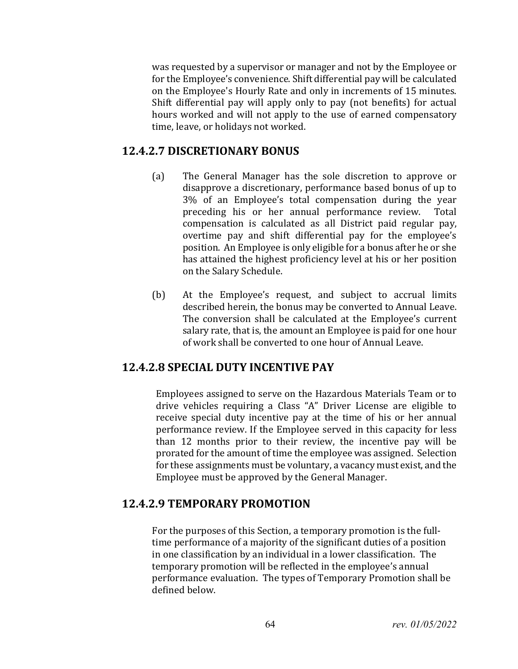was requested by a supervisor or manager and not by the Employee or for the Employee's convenience. Shift differential pay will be calculated on the Employee's Hourly Rate and only in increments of 15 minutes. Shift differential pay will apply only to pay (not benefits) for actual hours worked and will not apply to the use of earned compensatory time, leave, or holidays not worked.

### **12.4.2.7 DISCRETIONARY BONUS**

- (a) The General Manager has the sole discretion to approve or disapprove a discretionary, performance based bonus of up to 3% of an Employee's total compensation during the year preceding his or her annual performance review. compensation is calculated as all District paid regular pay, overtime pay and shift differential pay for the employee's position. An Employee is only eligible for a bonus after he or she has attained the highest proficiency level at his or her position on the Salary Schedule.
- (b) At the Employee's request, and subject to accrual limits described herein, the bonus may be converted to Annual Leave. The conversion shall be calculated at the Employee's current salary rate, that is, the amount an Employee is paid for one hour of work shall be converted to one hour of Annual Leave.

### **12.4.2.8 SPECIAL DUTY INCENTIVE PAY**

Employees assigned to serve on the Hazardous Materials Team or to drive vehicles requiring a Class "A" Driver License are eligible to receive special duty incentive pay at the time of his or her annual performance review. If the Employee served in this capacity for less than 12 months prior to their review, the incentive pay will be prorated for the amount of time the employee was assigned. Selection for these assignments must be voluntary, a vacancy must exist, and the Employee must be approved by the General Manager.

### **12.4.2.9 TEMPORARY PROMOTION**

For the purposes of this Section, a temporary promotion is the fulltime performance of a majority of the significant duties of a position in one classification by an individual in a lower classification. The temporary promotion will be reflected in the employee's annual performance evaluation. The types of Temporary Promotion shall be defined below.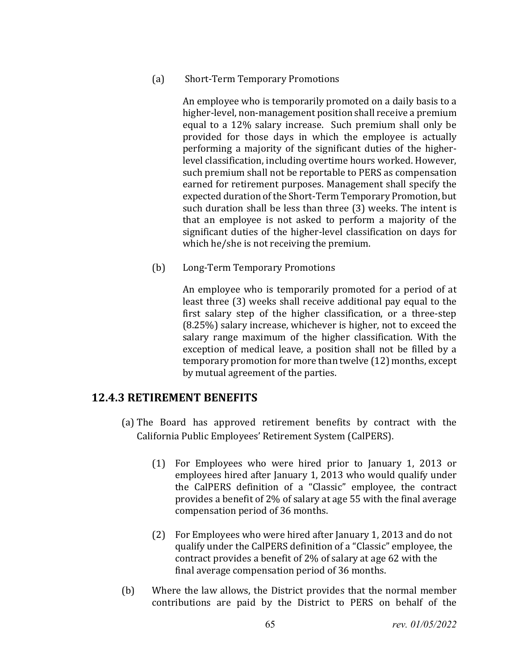#### (a) Short-Term Temporary Promotions

An employee who is temporarily promoted on a daily basis to a higher-level, non-management position shall receive a premium equal to a 12% salary increase. Such premium shall only be provided for those days in which the employee is actually performing a majority of the significant duties of the higherlevel classification, including overtime hours worked. However, such premium shall not be reportable to PERS as compensation earned for retirement purposes. Management shall specify the expected duration of the Short-Term Temporary Promotion, but such duration shall be less than three (3) weeks. The intent is that an employee is not asked to perform a majority of the significant duties of the higher-level classification on days for which he/she is not receiving the premium.

(b) Long-Term Temporary Promotions

An employee who is temporarily promoted for a period of at least three (3) weeks shall receive additional pay equal to the first salary step of the higher classification, or a three-step (8.25%) salary increase, whichever is higher, not to exceed the salary range maximum of the higher classification. With the exception of medical leave, a position shall not be filled by a temporary promotion for more than twelve (12) months, except by mutual agreement of the parties.

### **12.4.3 RETIREMENT BENEFITS**

- (a) The Board has approved retirement benefits by contract with the California Public Employees' Retirement System (CalPERS).
	- (1) For Employees who were hired prior to January 1, 2013 or employees hired after January 1, 2013 who would qualify under the CalPERS definition of a "Classic" employee, the contract provides a benefit of 2% of salary at age 55 with the final average compensation period of 36 months.
	- (2) For Employees who were hired after January 1, 2013 and do not qualify under the CalPERS definition of a "Classic" employee, the contract provides a benefit of 2% of salary at age 62 with the final average compensation period of 36 months.
- (b) Where the law allows, the District provides that the normal member contributions are paid by the District to PERS on behalf of the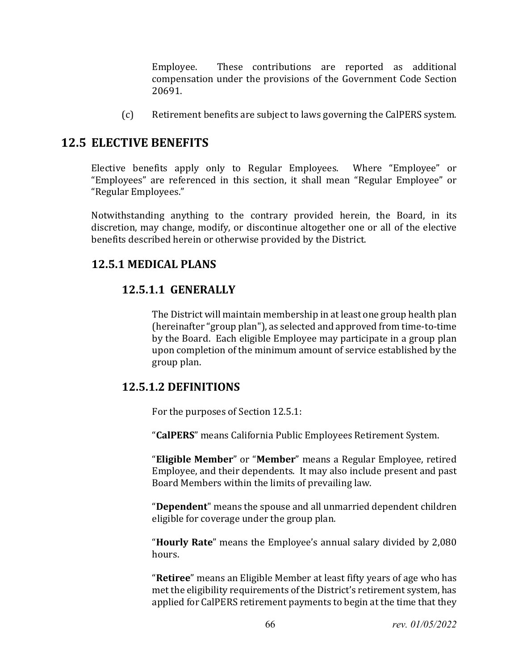Employee. These contributions are reported as additional compensation under the provisions of the Government Code Section 20691.

(c) Retirement benefits are subject to laws governing the CalPERS system.

## **12.5 ELECTIVE BENEFITS**

Elective benefits apply only to Regular Employees. Where "Employee" or "Employees" are referenced in this section, it shall mean "Regular Employee" or "Regular Employees."

Notwithstanding anything to the contrary provided herein, the Board, in its discretion, may change, modify, or discontinue altogether one or all of the elective benefits described herein or otherwise provided by the District.

### **12.5.1 MEDICAL PLANS**

### **12.5.1.1 GENERALLY**

The District will maintain membership in at least one group health plan (hereinafter "group plan"), as selected and approved from time-to-time by the Board. Each eligible Employee may participate in a group plan upon completion of the minimum amount of service established by the group plan.

### **12.5.1.2 DEFINITIONS**

For the purposes of Section 12.5.1:

"**CalPERS**" means California Public Employees Retirement System.

"**Eligible Member**" or "**Member**" means a Regular Employee, retired Employee, and their dependents. It may also include present and past Board Members within the limits of prevailing law.

"**Dependent**" means the spouse and all unmarried dependent children eligible for coverage under the group plan.

"**Hourly Rate**" means the Employee's annual salary divided by 2,080 hours.

"**Retiree**" means an Eligible Member at least fifty years of age who has met the eligibility requirements of the District's retirement system, has applied for CalPERS retirement payments to begin at the time that they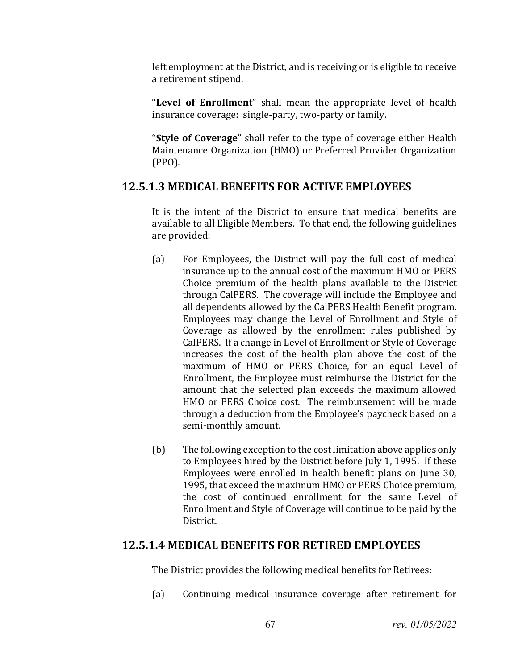left employment at the District, and is receiving or is eligible to receive a retirement stipend.

"**Level of Enrollment**" shall mean the appropriate level of health insurance coverage: single-party, two-party or family.

"**Style of Coverage**" shall refer to the type of coverage either Health Maintenance Organization (HMO) or Preferred Provider Organization (PPO).

### **12.5.1.3 MEDICAL BENEFITS FOR ACTIVE EMPLOYEES**

It is the intent of the District to ensure that medical benefits are available to all Eligible Members. To that end, the following guidelines are provided:

- (a) For Employees, the District will pay the full cost of medical insurance up to the annual cost of the maximum HMO or PERS Choice premium of the health plans available to the District through CalPERS. The coverage will include the Employee and all dependents allowed by the CalPERS Health Benefit program. Employees may change the Level of Enrollment and Style of Coverage as allowed by the enrollment rules published by CalPERS. If a change in Level of Enrollment or Style of Coverage increases the cost of the health plan above the cost of the maximum of HMO or PERS Choice, for an equal Level of Enrollment, the Employee must reimburse the District for the amount that the selected plan exceeds the maximum allowed HMO or PERS Choice cost. The reimbursement will be made through a deduction from the Employee's paycheck based on a semi-monthly amount.
- (b) The following exception to the cost limitation above applies only to Employees hired by the District before July 1, 1995. If these Employees were enrolled in health benefit plans on June 30, 1995, that exceed the maximum HMO or PERS Choice premium, the cost of continued enrollment for the same Level of Enrollment and Style of Coverage will continue to be paid by the District.

### **12.5.1.4 MEDICAL BENEFITS FOR RETIRED EMPLOYEES**

The District provides the following medical benefits for Retirees:

(a) Continuing medical insurance coverage after retirement for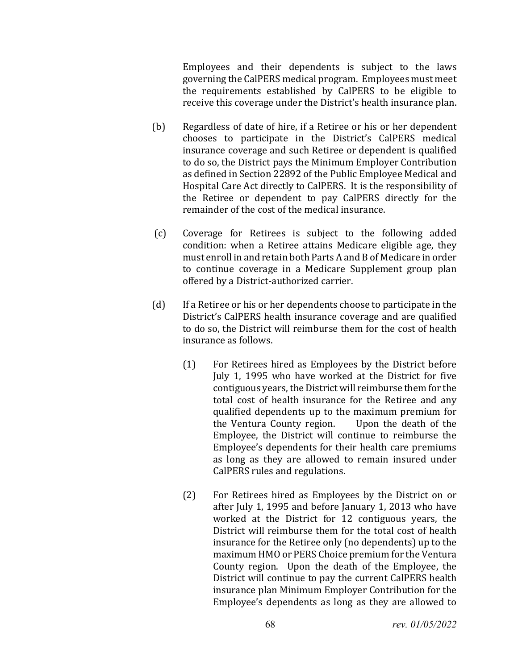Employees and their dependents is subject to the laws governing the CalPERS medical program. Employees must meet the requirements established by CalPERS to be eligible to receive this coverage under the District's health insurance plan.

- (b) Regardless of date of hire, if a Retiree or his or her dependent chooses to participate in the District's CalPERS medical insurance coverage and such Retiree or dependent is qualified to do so, the District pays the Minimum Employer Contribution as defined in Section 22892 of the Public Employee Medical and Hospital Care Act directly to CalPERS. It is the responsibility of the Retiree or dependent to pay CalPERS directly for the remainder of the cost of the medical insurance.
- (c) Coverage for Retirees is subject to the following added condition: when a Retiree attains Medicare eligible age, they must enroll in and retain both Parts A and B of Medicare in order to continue coverage in a Medicare Supplement group plan offered by a District-authorized carrier.
- (d) If a Retiree or his or her dependents choose to participate in the District's CalPERS health insurance coverage and are qualified to do so, the District will reimburse them for the cost of health insurance as follows.
	- (1) For Retirees hired as Employees by the District before July 1, 1995 who have worked at the District for five contiguous years, the District will reimburse them for the total cost of health insurance for the Retiree and any qualified dependents up to the maximum premium for<br>the Ventura County region. Upon the death of the the Ventura County region. Employee, the District will continue to reimburse the Employee's dependents for their health care premiums as long as they are allowed to remain insured under CalPERS rules and regulations.
	- (2) For Retirees hired as Employees by the District on or after July 1, 1995 and before January 1, 2013 who have worked at the District for 12 contiguous years, the District will reimburse them for the total cost of health insurance for the Retiree only (no dependents) up to the maximum HMO or PERS Choice premium for the Ventura County region. Upon the death of the Employee, the District will continue to pay the current CalPERS health insurance plan Minimum Employer Contribution for the Employee's dependents as long as they are allowed to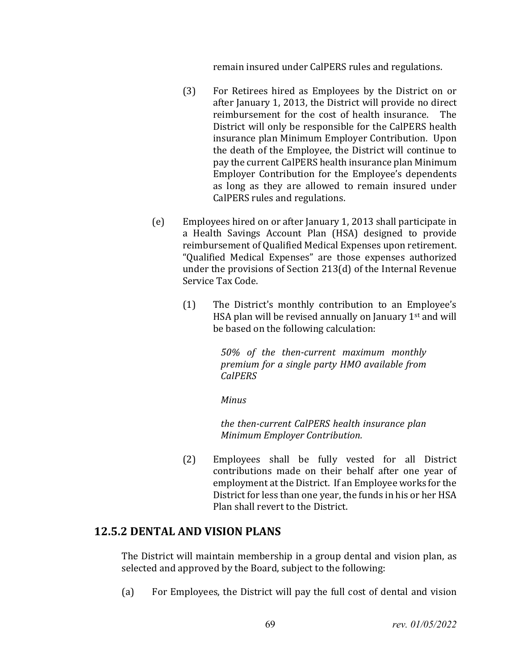remain insured under CalPERS rules and regulations.

- (3) For Retirees hired as Employees by the District on or after January 1, 2013, the District will provide no direct reimbursement for the cost of health insurance. District will only be responsible for the CalPERS health insurance plan Minimum Employer Contribution. Upon the death of the Employee, the District will continue to pay the current CalPERS health insurance plan Minimum Employer Contribution for the Employee's dependents as long as they are allowed to remain insured under CalPERS rules and regulations.
- (e) Employees hired on or after January 1, 2013 shall participate in a Health Savings Account Plan (HSA) designed to provide reimbursement of Qualified Medical Expenses upon retirement. "Qualified Medical Expenses" are those expenses authorized under the provisions of Section 213(d) of the Internal Revenue Service Tax Code.
	- (1) The District's monthly contribution to an Employee's HSA plan will be revised annually on January 1st and will be based on the following calculation:

*50% of the then-current maximum monthly premium for a single party HMO available from CalPERS*

*Minus*

*the then-current CalPERS health insurance plan Minimum Employer Contribution.*

(2) Employees shall be fully vested for all District contributions made on their behalf after one year of employment at the District. If an Employee works for the District for less than one year, the funds in his or her HSA Plan shall revert to the District.

#### **12.5.2 DENTAL AND VISION PLANS**

The District will maintain membership in a group dental and vision plan, as selected and approved by the Board, subject to the following:

(a) For Employees, the District will pay the full cost of dental and vision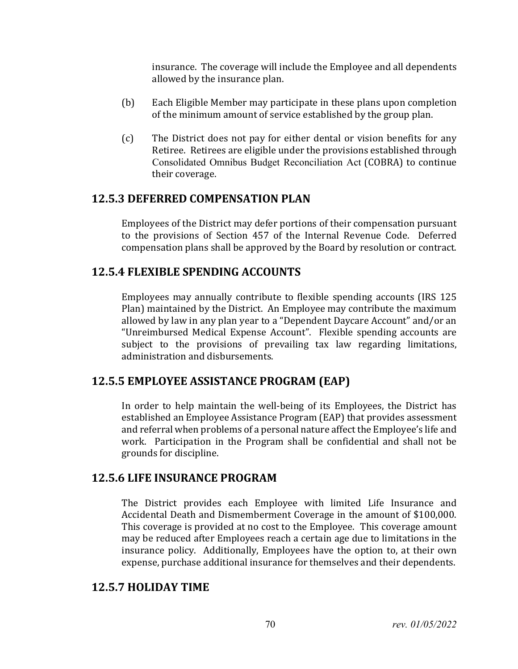insurance. The coverage will include the Employee and all dependents allowed by the insurance plan.

- (b) Each Eligible Member may participate in these plans upon completion of the minimum amount of service established by the group plan.
- (c) The District does not pay for either dental or vision benefits for any Retiree. Retirees are eligible under the provisions established through Consolidated Omnibus Budget Reconciliation Act (COBRA) to continue their coverage.

#### **12.5.3 DEFERRED COMPENSATION PLAN**

Employees of the District may defer portions of their compensation pursuant to the provisions of Section 457 of the Internal Revenue Code. Deferred compensation plans shall be approved by the Board by resolution or contract.

### **12.5.4 FLEXIBLE SPENDING ACCOUNTS**

Employees may annually contribute to flexible spending accounts (IRS 125 Plan) maintained by the District. An Employee may contribute the maximum allowed by law in any plan year to a "Dependent Daycare Account" and/or an "Unreimbursed Medical Expense Account". Flexible spending accounts are subject to the provisions of prevailing tax law regarding limitations, administration and disbursements.

### **12.5.5 EMPLOYEE ASSISTANCE PROGRAM (EAP)**

In order to help maintain the well-being of its Employees, the District has established an Employee Assistance Program (EAP) that provides assessment and referral when problems of a personal nature affect the Employee's life and work. Participation in the Program shall be confidential and shall not be grounds for discipline.

### **12.5.6 LIFE INSURANCE PROGRAM**

The District provides each Employee with limited Life Insurance and Accidental Death and Dismemberment Coverage in the amount of \$100,000. This coverage is provided at no cost to the Employee. This coverage amount may be reduced after Employees reach a certain age due to limitations in the insurance policy. Additionally, Employees have the option to, at their own expense, purchase additional insurance for themselves and their dependents.

### **12.5.7 HOLIDAY TIME**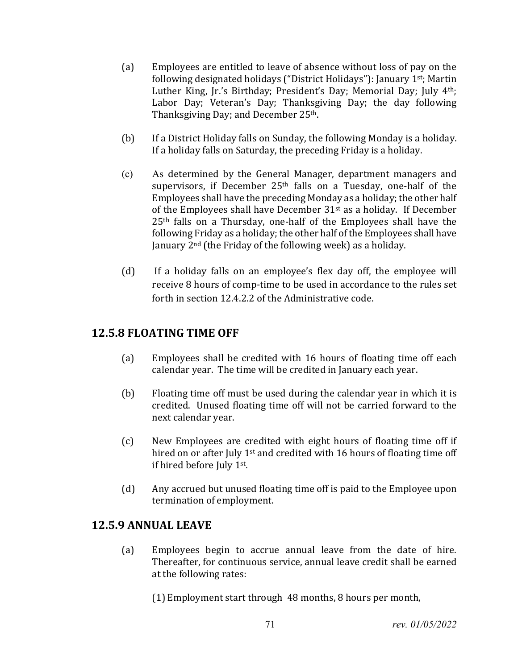- (a) Employees are entitled to leave of absence without loss of pay on the following designated holidays ("District Holidays"): January 1st; Martin Luther King, Jr.'s Birthday; President's Day; Memorial Day; July 4th; Labor Day; Veteran's Day; Thanksgiving Day; the day following Thanksgiving Day; and December 25th.
- (b) If a District Holiday falls on Sunday, the following Monday is a holiday. If a holiday falls on Saturday, the preceding Friday is a holiday.
- (c) As determined by the General Manager, department managers and supervisors, if December 25<sup>th</sup> falls on a Tuesday, one-half of the Employees shall have the preceding Monday as a holiday; the other half of the Employees shall have December 31st as a holiday. If December 25th falls on a Thursday, one-half of the Employees shall have the following Friday as a holiday; the other half of the Employees shall have January 2nd (the Friday of the following week) as a holiday.
- (d) If a holiday falls on an employee's flex day off, the employee will receive 8 hours of comp-time to be used in accordance to the rules set forth in section 12.4.2.2 of the Administrative code.

#### **12.5.8 FLOATING TIME OFF**

- (a) Employees shall be credited with 16 hours of floating time off each calendar year. The time will be credited in January each year.
- (b) Floating time off must be used during the calendar year in which it is credited. Unused floating time off will not be carried forward to the next calendar year.
- (c) New Employees are credited with eight hours of floating time off if hired on or after July 1<sup>st</sup> and credited with 16 hours of floating time off if hired before July 1st.
- (d) Any accrued but unused floating time off is paid to the Employee upon termination of employment.

### **12.5.9 ANNUAL LEAVE**

(a) Employees begin to accrue annual leave from the date of hire. Thereafter, for continuous service, annual leave credit shall be earned at the following rates:

(1) Employment start through 48 months, 8 hours per month,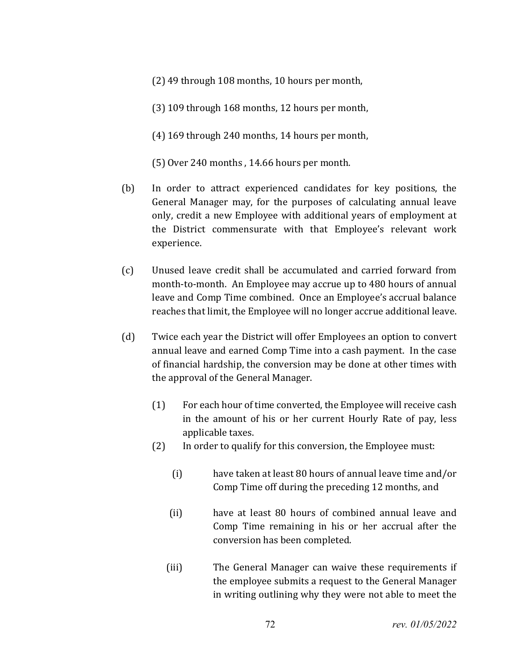- (2) 49 through 108 months, 10 hours per month,
- (3) 109 through 168 months, 12 hours per month,
- (4) 169 through 240 months, 14 hours per month,
- (5) Over 240 months , 14.66 hours per month.
- (b) In order to attract experienced candidates for key positions, the General Manager may, for the purposes of calculating annual leave only, credit a new Employee with additional years of employment at the District commensurate with that Employee's relevant work experience.
- (c) Unused leave credit shall be accumulated and carried forward from month-to-month. An Employee may accrue up to 480 hours of annual leave and Comp Time combined. Once an Employee's accrual balance reaches that limit, the Employee will no longer accrue additional leave.
- (d) Twice each year the District will offer Employees an option to convert annual leave and earned Comp Time into a cash payment. In the case of financial hardship, the conversion may be done at other times with the approval of the General Manager.
	- (1) For each hour of time converted, the Employee will receive cash in the amount of his or her current Hourly Rate of pay, less applicable taxes.
	- (2) In order to qualify for this conversion, the Employee must:
		- (i) have taken at least 80 hours of annual leave time and/or Comp Time off during the preceding 12 months, and
		- (ii) have at least 80 hours of combined annual leave and Comp Time remaining in his or her accrual after the conversion has been completed.
		- (iii) The General Manager can waive these requirements if the employee submits a request to the General Manager in writing outlining why they were not able to meet the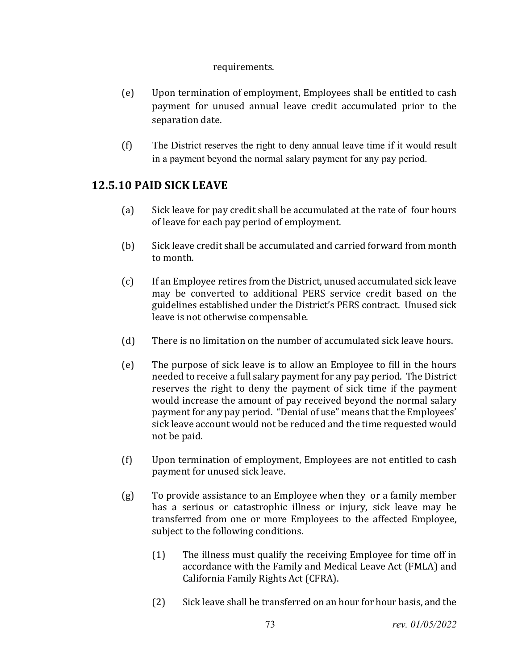### requirements.

- (e) Upon termination of employment, Employees shall be entitled to cash payment for unused annual leave credit accumulated prior to the separation date.
- (f) The District reserves the right to deny annual leave time if it would result in a payment beyond the normal salary payment for any pay period.

# **12.5.10 PAID SICK LEAVE**

- (a) Sick leave for pay credit shall be accumulated at the rate of four hours of leave for each pay period of employment.
- (b) Sick leave credit shall be accumulated and carried forward from month to month.
- (c) If an Employee retires from the District, unused accumulated sick leave may be converted to additional PERS service credit based on the guidelines established under the District's PERS contract. Unused sick leave is not otherwise compensable.
- (d) There is no limitation on the number of accumulated sick leave hours.
- (e) The purpose of sick leave is to allow an Employee to fill in the hours needed to receive a full salary payment for any pay period. The District reserves the right to deny the payment of sick time if the payment would increase the amount of pay received beyond the normal salary payment for any pay period. "Denial of use" means that the Employees' sick leave account would not be reduced and the time requested would not be paid.
- (f) Upon termination of employment, Employees are not entitled to cash payment for unused sick leave.
- (g) To provide assistance to an Employee when they or a family member has a serious or catastrophic illness or injury, sick leave may be transferred from one or more Employees to the affected Employee, subject to the following conditions.
	- (1) The illness must qualify the receiving Employee for time off in accordance with the Family and Medical Leave Act (FMLA) and California Family Rights Act (CFRA).
	- (2) Sick leave shall be transferred on an hour for hour basis, and the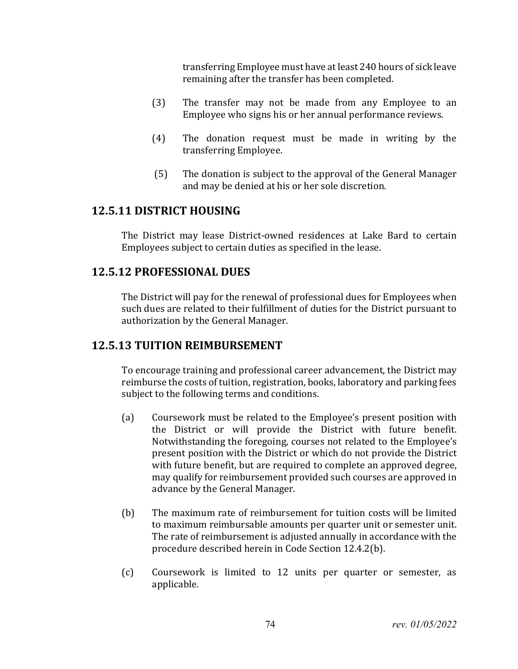transferring Employee must have at least 240 hours of sick leave remaining after the transfer has been completed.

- (3) The transfer may not be made from any Employee to an Employee who signs his or her annual performance reviews.
- (4) The donation request must be made in writing by the transferring Employee.
- (5) The donation is subject to the approval of the General Manager and may be denied at his or her sole discretion.

## **12.5.11 DISTRICT HOUSING**

The District may lease District-owned residences at Lake Bard to certain Employees subject to certain duties as specified in the lease.

## **12.5.12 PROFESSIONAL DUES**

The District will pay for the renewal of professional dues for Employees when such dues are related to their fulfillment of duties for the District pursuant to authorization by the General Manager.

# **12.5.13 TUITION REIMBURSEMENT**

To encourage training and professional career advancement, the District may reimburse the costs of tuition, registration, books, laboratory and parking fees subject to the following terms and conditions.

- (a) Coursework must be related to the Employee's present position with the District or will provide the District with future benefit. Notwithstanding the foregoing, courses not related to the Employee's present position with the District or which do not provide the District with future benefit, but are required to complete an approved degree, may qualify for reimbursement provided such courses are approved in advance by the General Manager.
- (b) The maximum rate of reimbursement for tuition costs will be limited to maximum reimbursable amounts per quarter unit or semester unit. The rate of reimbursement is adjusted annually in accordance with the procedure described herein in Code Section 12.4.2(b).
- (c) Coursework is limited to 12 units per quarter or semester, as applicable.